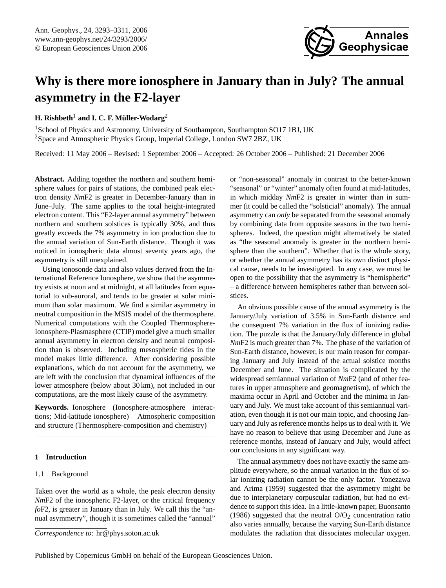

# <span id="page-0-0"></span>**Why is there more ionosphere in January than in July? The annual asymmetry in the F2-layer**

**H.** Rishbeth $^1$  and I. C. F. Müller-Wodarg $^2$ 

<sup>1</sup>School of Physics and Astronomy, University of Southampton, Southampton SO17 1BJ, UK <sup>2</sup>Space and Atmospheric Physics Group, Imperial College, London SW7 2BZ, UK

Received: 11 May 2006 – Revised: 1 September 2006 – Accepted: 26 October 2006 – Published: 21 December 2006

**Abstract.** Adding together the northern and southern hemisphere values for pairs of stations, the combined peak electron density *Nm*F2 is greater in December-January than in June–July. The same applies to the total height-integrated electron content. This "F2-layer annual asymmetry" between northern and southern solstices is typically 30%, and thus greatly exceeds the 7% asymmetry in ion production due to the annual variation of Sun-Earth distance. Though it was noticed in ionospheric data almost seventy years ago, the asymmetry is still unexplained.

Using ionosonde data and also values derived from the International Reference Ionosphere, we show that the asymmetry exists at noon and at midnight, at all latitudes from equatorial to sub-auroral, and tends to be greater at solar minimum than solar maximum. We find a similar asymmetry in neutral composition in the MSIS model of the thermosphere. Numerical computations with the Coupled Thermosphere-Ionosphere-Plasmasphere (CTIP) model give a much smaller annual asymmetry in electron density and neutral composition than is observed. Including mesospheric tides in the model makes little difference. After considering possible explanations, which do not account for the asymmetry, we are left with the conclusion that dynamical influences of the lower atmosphere (below about 30 km), not included in our computations, are the most likely cause of the asymmetry.

**Keywords.** Ionosphere (Ionosphere-atmosphere interactions; Mid-latitude ionosphere) – Atmospheric composition and structure (Thermosphere-composition and chemistry)

## **1 Introduction**

## 1.1 Background

Taken over the world as a whole, the peak electron density *Nm*F2 of the ionospheric F2-layer, or the critical frequency *fo*F2, is greater in January than in July. We call this the "annual asymmetry", though it is sometimes called the "annual" or "non-seasonal" anomaly in contrast to the better-known "seasonal" or "winter" anomaly often found at mid-latitudes, in which midday *Nm*F2 is greater in winter than in summer (it could be called the "solsticial" anomaly). The annual asymmetry can *only* be separated from the seasonal anomaly by combining data from opposite seasons in the two hemispheres. Indeed, the question might alternatively be stated as "the seasonal anomaly is greater in the northern hemisphere than the southern". Whether that is the whole story, or whether the annual asymmetry has its own distinct physical cause, needs to be investigated. In any case, we must be open to the possibility that the asymmetry is "hemispheric" – a difference between hemispheres rather than between solstices.

An obvious possible cause of the annual asymmetry is the January/July variation of 3.5% in Sun-Earth distance and the consequent 7% variation in the flux of ionizing radiation. The puzzle is that the January/July difference in global *Nm*F2 is much greater than 7%. The phase of the variation of Sun-Earth distance, however, is our main reason for comparing January and July instead of the actual solstice months December and June. The situation is complicated by the widespread semiannual variation of *Nm*F2 (and of other features in upper atmosphere and geomagnetism), of which the maxima occur in April and October and the minima in January and July. We must take account of this semiannual variation, even though it is not our main topic, and choosing January and July as reference months helps us to deal with it. We have no reason to believe that using December and June as reference months, instead of January and July, would affect our conclusions in any significant way.

The annual asymmetry does not have exactly the same amplitude everywhere, so the annual variation in the flux of solar ionizing radiation cannot be the only factor. Yonezawa and Arima (1959) suggested that the asymmetry might be due to interplanetary corpuscular radiation, but had no evidence to support this idea. In a little-known paper, Buonsanto (1986) suggested that the neutral  $O/O<sub>2</sub>$  concentration ratio also varies annually, because the varying Sun-Earth distance modulates the radiation that dissociates molecular oxygen.

*Correspondence to:* hr@phys.soton.ac.uk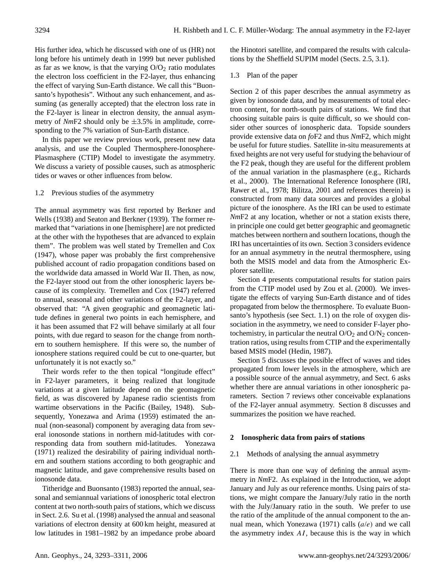His further idea, which he discussed with one of us (HR) not long before his untimely death in 1999 but never published as far as we know, is that the varying  $O/O<sub>2</sub>$  ratio modulates the electron loss coefficient in the F2-layer, thus enhancing the effect of varying Sun-Earth distance. We call this "Buonsanto's hypothesis". Without any such enhancement, and assuming (as generally accepted) that the electron loss rate in the F2-layer is linear in electron density, the annual asymmetry of *Nm*F2 should only be ±3.5% in amplitude, corresponding to the 7% variation of Sun-Earth distance.

In this paper we review previous work, present new data analysis, and use the Coupled Thermosphere-Ionosphere-Plasmasphere (CTIP) Model to investigate the asymmetry. We discuss a variety of possible causes, such as atmospheric tides or waves or other influences from below.

## 1.2 Previous studies of the asymmetry

The annual asymmetry was first reported by Berkner and Wells (1938) and Seaton and Berkner (1939). The former remarked that "variations in one [hemisphere] are not predicted at the other with the hypotheses that are advanced to explain them". The problem was well stated by Tremellen and Cox (1947), whose paper was probably the first comprehensive published account of radio propagation conditions based on the worldwide data amassed in World War II. Then, as now, the F2-layer stood out from the other ionospheric layers because of its complexity. Tremellen and Cox (1947) referred to annual, seasonal and other variations of the F2-layer, and observed that: "A given geographic and geomagnetic latitude defines in general two points in each hemisphere, and it has been assumed that F2 will behave similarly at all four points, with due regard to season for the change from northern to southern hemisphere. If this were so, the number of ionosphere stations required could be cut to one-quarter, but unfortunately it is not exactly so."

Their words refer to the then topical "longitude effect" in F2-layer parameters, it being realized that longitude variations at a given latitude depend on the geomagnetic field, as was discovered by Japanese radio scientists from wartime observations in the Pacific (Bailey, 1948). Subsequently, Yonezawa and Arima (1959) estimated the annual (non-seasonal) component by averaging data from several ionosonde stations in northern mid-latitudes with corresponding data from southern mid-latitudes. Yonezawa (1971) realized the desirability of pairing individual northern and southern stations according to both geographic and magnetic latitude, and gave comprehensive results based on ionosonde data.

Titheridge and Buonsanto (1983) reported the annual, seasonal and semiannual variations of ionospheric total electron content at two north-south pairs of stations, which we discuss in Sect. 2.6. Su et al. (1998) analysed the annual and seasonal variations of electron density at 600 km height, measured at low latitudes in 1981–1982 by an impedance probe aboard the Hinotori satellite, and compared the results with calculations by the Sheffield SUPIM model (Sects. 2.5, 3.1).

#### 1.3 Plan of the paper

Section 2 of this paper describes the annual asymmetry as given by ionosonde data, and by measurements of total electron content, for north-south pairs of stations. We find that choosing suitable pairs is quite difficult, so we should consider other sources of ionospheric data. Topside sounders provide extensive data on *fo*F2 and thus *Nm*F2, which might be useful for future studies. Satellite in-situ measurements at fixed heights are not very useful for studying the behaviour of the F2 peak, though they are useful for the different problem of the annual variation in the plasmasphere (e.g., Richards et al., 2000). The International Reference Ionosphere (IRI, Rawer et al., 1978; Bilitza, 2001 and references therein) is constructed from many data sources and provides a global picture of the ionosphere. As the IRI can be used to estimate *Nm*F2 at any location, whether or not a station exists there, in principle one could get better geographic and geomagnetic matches between northern and southern locations, though the IRI has uncertainties of its own. Section 3 considers evidence for an annual asymmetry in the neutral thermosphere, using both the MSIS model and data from the Atmospheric Explorer satellite.

Section 4 presents computational results for station pairs from the CTIP model used by Zou et al. (2000). We investigate the effects of varying Sun-Earth distance and of tides propagated from below the thermosphere. To evaluate Buonsanto's hypothesis (see Sect. 1.1) on the role of oxygen dissociation in the asymmetry, we need to consider F-layer photochemistry, in particular the neutral  $O/O<sub>2</sub>$  and  $O/N<sub>2</sub>$  concentration ratios, using results from CTIP and the experimentally based MSIS model (Hedin, 1987).

Section 5 discusses the possible effect of waves and tides propagated from lower levels in the atmosphere, which are a possible source of the annual asymmetry, and Sect. 6 asks whether there are annual variations in other ionospheric parameters. Section 7 reviews other conceivable explanations of the F2-layer annual asymmetry. Section 8 discusses and summarizes the position we have reached.

#### **2 Ionospheric data from pairs of stations**

#### 2.1 Methods of analysing the annual asymmetry

There is more than one way of defining the annual asymmetry in *Nm*F2. As explained in the Introduction, we adopt January and July as our reference months. Using pairs of stations, we might compare the January/July ratio in the north with the July/January ratio in the south. We prefer to use the ratio of the amplitude of the annual component to the annual mean, which Yonezawa (1971) calls (a/e) and we call the asymmetry index  $AI$ , because this is the way in which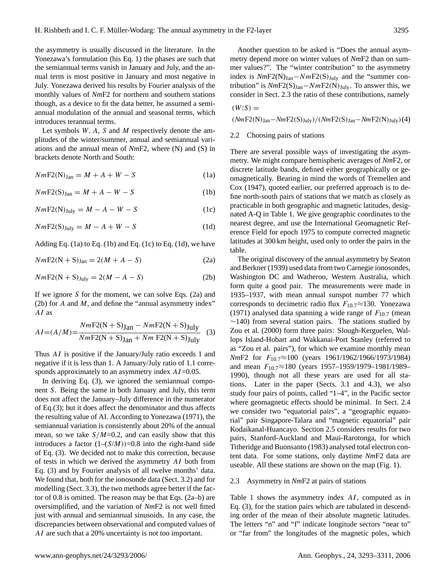the asymmetry is usually discussed in the literature. In the Yonezawa's formulation (his Eq. 1) the phases are such that the semiannual terms vanish in January and July, and the annual term is most positive in January and most negative in July. Yonezawa derived his results by Fourier analysis of the monthly values of *Nm*F2 for northern and southern stations though, as a device to fit the data better, he assumed a semiannual modulation of the annual and seasonal terms, which introduces terannual terms.

Let symbols  $W$ ,  $A$ ,  $S$  and  $M$  respectively denote the amplitudes of the winter/summer, annual and semiannual variations and the annual mean of *Nm*F2, where (N) and (S) in brackets denote North and South:

$$
NmF2(N)Jan = M + A + W - S
$$
 (1a)

$$
NmF2(S)Jan = M + A - W - S
$$
 (1b)

$$
NmF2(N)_{\text{July}} = M - A - W - S \tag{1c}
$$

$$
NmF2(S)July = M - A + W - S
$$
 (1d)

Adding Eq.  $(1a)$  to Eq.  $(1b)$  and Eq.  $(1c)$  to Eq.  $(1d)$ , we have

$$
NmF2(N + S)Jan = 2(M + A - S)
$$
 (2a)

$$
NmF2(N + S)July = 2(M - A - S)
$$
 (2b)

If we ignore S for the moment, we can solve Eqs.  $(2a)$  and (2b) for  $A$  and  $M$ , and define the "annual asymmetry index" AI as

<span id="page-2-0"></span>
$$
AI = (A/M) = \frac{NmF2(N + S)_{Jan} - NmF2(N + S)_{July}}{NmF2(N + S)_{Jan} + Nm F2(N + S)_{July}} \quad (3)
$$

Thus AI is positive if the January/July ratio exceeds 1 and negative if it is less than 1. A January/July ratio of 1.1 corresponds approximately to an asymmetry index  $AI = 0.05$ .

In deriving Eq. [\(3\)](#page-2-0), we ignored the semiannual component S. Being the same in both January and July, this term does not affect the January–July difference in the numerator of Eq.[\(3\)](#page-2-0); but it does affect the denominator and thus affects the resulting value of AI. According to Yonezawa (1971), the semiannual variation is consistently about 20% of the annual mean, so we take  $S/M=0.2$ , and can easily show that this introduces a factor  $(1-(S/M))=0.8$  into the right-hand side of Eq. [\(3\)](#page-2-0). We decided not to make this correction, because of tests in which we derived the asymmetry AI both from Eq. [\(3\)](#page-2-0) and by Fourier analysis of all twelve months' data. We found that, both for the ionosonde data (Sect. 3.2) and for modelling (Sect. 3.3), the two methods agree better if the factor of 0.8 is omitted. The reason may be that Eqs. (2a–b) are oversimplified, and the variation of *Nm*F2 is not well fitted just with annual and semiannual sinusoids. In any case, the discrepancies between observational and computed values of AI are such that a 20% uncertainty is not too important.

Another question to be asked is "Does the annual asymmetry depend more on winter values of *Nm*F2 than on summer values?". The "winter contribution" to the asymmetry index is *NmF*2(N)<sub>Jan</sub>−NmF2(S)<sub>July</sub> and the "summer contribution" is  $NmF2(S)_{Jan}-NmF2(N)_{July}$ . To answer this, we consider in Sect. 2.3 the ratio of these contributions, namely

$$
(W\dot{.}S) =
$$

 $(NmF2(N)<sub>Jan</sub>-NmF2(S)<sub>July</sub>)/(NmF2(S)<sub>Jan</sub>-NmF2(N)<sub>July</sub>)(4)$ 

#### 2.2 Choosing pairs of stations

There are several possible ways of investigating the asymmetry. We might compare hemispheric averages of *Nm*F2, or discrete latitude bands, defined either geographically or geomagnetically. Bearing in mind the words of Tremellen and Cox (1947), quoted earlier, our preferred approach is to define north-south pairs of stations that we match as closely as practicable in both geographic and magnetic latitudes, designated A-Q in Table 1. We give geographic coordinates to the nearest degree, and use the International Geomagnetic Reference Field for epoch 1975 to compute corrected magnetic latitudes at 300 km height, used only to order the pairs in the table.

The original discovery of the annual asymmetry by Seaton and Berkner (1939) used data from two Carnegie ionosondes, Washington DC and Watheroo, Western Australia, which form quite a good pair. The measurements were made in 1935–1937, with mean annual sunspot number 77 which corresponds to decimetric radio flux  $F_{10.7} \approx 130$ . Yonezawa (1971) analysed data spanning a wide range of  $F_{10,7}$  (mean ∼140) from several station pairs. The stations studied by Zou et al. (2000) form three pairs: Slough-Kerguelen, Wallops Island-Hobart and Wakkanai-Port Stanley (referred to as "Zou et al. pairs"), for which we examine monthly mean *NmF2* for *F*<sub>10.7</sub>≈100 (years 1961/1962/1966/1973/1984) and mean  $F_{10,7} \approx 180$  (years 1957–1959/1979–1981/1989– 1990), though not all these years are used for all stations. Later in the paper (Sects. 3.1 and 4.3), we also study four pairs of points, called "1–4", in the Pacific sector where geomagnetic effects should be minimal. In Sect. 2.4 we consider two "equatorial pairs", a "geographic equatorial" pair Singapore-Talara and "magnetic equatorial" pair Kodaikanal-Huancayo. Section 2.5 considers results for two pairs, Stanford-Auckland and Maui-Rarotonga, for which Titheridge and Buonsanto (1983) analysed total electron content data. For some stations, only daytime *Nm*F2 data are useable. All these stations are shown on the map (Fig. 1).

#### 2.3 Asymmetry in *Nm*F2 at pairs of stations

Table 1 shows the asymmetry index  $AI$ , computed as in Eq. [\(3\)](#page-2-0), for the station pairs which are tabulated in descending order of the mean of their absolute magnetic latitudes. The letters "n" and "f" indicate longitude sectors "near to" or "far from" the longitudes of the magnetic poles, which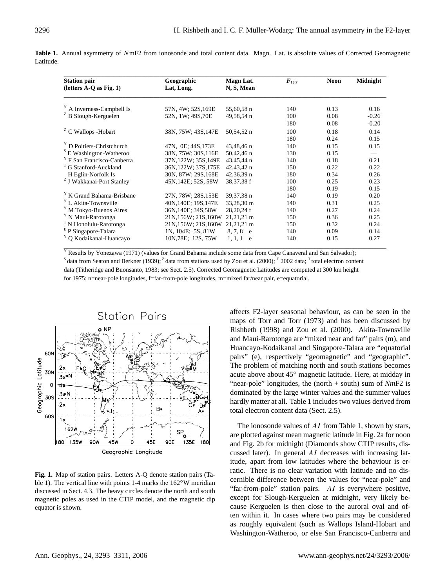| <b>Station pair</b><br>(letters $A - Q$ as Fig. 1) | Geographic<br>Lat, Long.      | Magn Lat.<br>N, S, Mean | $F_{10.7}$ | <b>Noon</b> | Midnight |  |
|----------------------------------------------------|-------------------------------|-------------------------|------------|-------------|----------|--|
| <sup>Y</sup> A Inverness-Campbell Is               | 57N, 4W; 52S, 169E            | 55,60,58 n              | 140        | 0.13        | 0.16     |  |
| <sup>Z</sup> B Slough-Kerguelen                    | 52N, 1W; 49S, 70E             | 49,58,54 n              | 100        | 0.08        | $-0.26$  |  |
|                                                    |                               |                         | 180        | 0.08        | $-0.20$  |  |
| <sup>2</sup> C Wallops -Hobart                     | 38N, 75W; 43S, 147E           | 50,54,52 n              | 100        | 0.18        | 0.14     |  |
|                                                    |                               |                         | 180        | 0.24        | 0.15     |  |
| <sup>Y</sup> D Poitiers-Christchurch               | 47N, 0E; 44S, 173E            | 43,48,46 n              | 140        | 0.15        | 0.15     |  |
| <sup>S</sup> E Washington-Watheroo                 | 38N, 75W; 30S, 116E           | 50,42,46 n              | 130        | 0.15        |          |  |
| <sup>Y</sup> F San Francisco-Canberra              | 37N, 122W; 35S, 149E          | 43,45,44 n              | 140        | 0.18        | 0.21     |  |
| <sup>T</sup> G Stanford-Auckland                   | 36N, 122W; 37S, 175E          | 42,43,42 n              | 150        | 0.22        | 0.22     |  |
| H Eglin-Norfolk Is                                 | 30N, 87W; 29S, 168E           | $42,36,39 \text{ n}$    | 180        | 0.34        | 0.26     |  |
| <sup>2</sup> J Wakkanai-Port Stanley               | 45N, 142E; 52S, 58W           | 38,37,38 f              | 100        | 0.25        | 0.23     |  |
|                                                    |                               |                         | 180        | 0.19        | 0.15     |  |
| <sup>Y</sup> K Grand Bahama-Brisbane               | 27N, 78W; 28S, 153E           | 39,37,38 n              | 140        | 0.19        | 0.20     |  |
| <sup>Y</sup> L Akita-Townsville                    | 40N, 140E; 19S, 147E          | 33,28,30 m              | 140        | 0.31        | 0.25     |  |
| <sup>Y</sup> M Tokyo-Buenos Aires                  | 36N, 140E; 34S, 58W           | $28,20,24$ f            | 140        | 0.27        | 0.24     |  |
| <sup>Y</sup> N Maui-Rarotonga                      | 21N,156W; 21S,160W 21,21,21 m |                         | 150        | 0.36        | 0.25     |  |
| <sup>T</sup> N Honolulu-Rarotonga                  | 21N,156W; 21S,160W 21,21,21 m |                         | 150        | 0.32        | 0.24     |  |
| <sup>E</sup> P Singapore-Talara                    | 1N, 104E; 5S, 81W             | $8, 7, 8$ e             | 140        | 0.09        | 0.14     |  |
| <sup>Y</sup> O Kodaikanal-Huancayo                 | 10N, 78E; 12S, 75W            | 1, 1, 1<br>e e          | 140        | 0.15        | 0.27     |  |

**Table 1.** Annual asymmetry of NmF2 from ionosonde and total content data. Magn. Lat. is absolute values of Corrected Geomagnetic Latitude.

<sup>Y</sup> Results by Yonezawa (1971) (values for Grand Bahama include some data from Cape Canaveral and San Salvador);

 $^S$ data from Seaton and Berkner (1939); <sup>Z</sup> data from stations used by Zou et al. (2000); <sup>E</sup> 2002 data; <sup>T</sup> total electron content data (Titheridge and Buonsanto, 1983; see Sect. 2.5). Corrected Geomagnetic Latitudes are computed at 300 km height for 1975; n=near-pole longitudes, f=far-from-pole longitudes, m=mixed far/near pair, e=equatorial.



**Fig. 1.** Map of station pairs. Letters A-Q denote station pairs (Table 1). The vertical line with points 1-4 marks the 162◦W meridian discussed in Sect. 4.3. The heavy circles denote the north and south magnetic poles as used in the CTIP model, and the magnetic dip equator is shown.

affects F2-layer seasonal behaviour, as can be seen in the maps of Torr and Torr (1973) and has been discussed by Rishbeth (1998) and Zou et al. (2000). Akita-Townsville and Maui-Rarotonga are "mixed near and far" pairs (m), and Huancayo-Kodaikanal and Singapore-Talara are "equatorial pairs" (e), respectively "geomagnetic" and "geographic". The problem of matching north and south stations becomes acute above about 45◦ magnetic latitude. Here, at midday in "near-pole" longitudes, the (north + south) sum of *Nm*F2 is dominated by the large winter values and the summer values hardly matter at all. Table 1 includes two values derived from total electron content data (Sect. 2.5).

The ionosonde values of AI from Table 1, shown by stars, are plotted against mean magnetic latitude in Fig. 2a for noon and Fig. 2b for midnight (Diamonds show CTIP results, discussed later). In general AI decreases with increasing latitude, apart from low latitudes where the behaviour is erratic. There is no clear variation with latitude and no discernible difference between the values for "near-pole" and "far-from-pole" station pairs.  $AI$  is everywhere positive, except for Slough-Kerguelen at midnight, very likely because Kerguelen is then close to the auroral oval and often within it. In cases where two pairs may be considered as roughly equivalent (such as Wallops Island-Hobart and Washington-Watheroo, or else San Francisco-Canberra and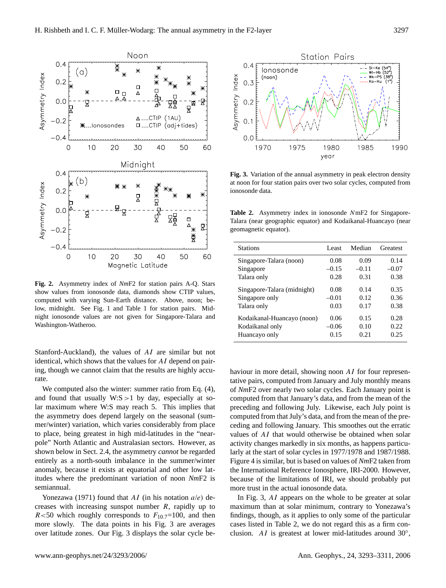

**Fig. 2.** Asymmetry index of *Nm*F2 for station pairs A-Q. Stars show values from ionosonde data, diamonds show CTIP values, computed with varying Sun-Earth distance. Above, noon; below, midnight. See Fig. 1 and Table 1 for station pairs. Midnight ionosonde values are not given for Singapore-Talara and Washington-Watheroo.

Stanford-Auckland), the values of AI are similar but not identical, which shows that the values for  $AI$  depend on pairing, though we cannot claim that the results are highly accurate.

We computed also the winter: summer ratio from Eq.  $(4)$ , and found that usually  $W: S > 1$  by day, especially at solar maximum where W:S may reach 5. This implies that the asymmetry does depend largely on the seasonal (summer/winter) variation, which varies considerably from place to place, being greatest in high mid-latitudes in the "nearpole" North Atlantic and Australasian sectors. However, as shown below in Sect. 2.4, the asymmetry *cannot* be regarded entirely as a north-south imbalance in the summer/winter anomaly, because it exists at equatorial and other low latitudes where the predominant variation of noon *Nm*F2 is semiannual.

Yonezawa (1971) found that AI (in his notation  $a/e$ ) decreases with increasing sunspot number  $R$ , rapidly up to  $R<50$  which roughly corresponds to  $F_{10,7}=100$ , and then more slowly. The data points in his Fig. 3 are averages over latitude zones. Our Fig. 3 displays the solar cycle be-



**Fig. 3.** Variation of the annual asymmetry in peak electron density at noon for four station pairs over two solar cycles, computed from ionosonde data.

**Table 2.** Asymmetry index in ionosonde NmF2 for Singapore-Talara (near geographic equator) and Kodaikanal-Huancayo (near geomagnetic equator).

| <b>Stations</b>             | Least   | Median  | Greatest |
|-----------------------------|---------|---------|----------|
| Singapore-Talara (noon)     | 0.08    | 0.09    | 0.14     |
| Singapore                   | $-0.15$ | $-0.11$ | $-0.07$  |
| Talara only                 | 0.28    | 0.31    | 0.38     |
| Singapore-Talara (midnight) | 0.08    | 0.14    | 0.35     |
| Singapore only              | $-0.01$ | 0.12    | 0.36     |
| Talara only                 | 0.03    | 0.17    | 0.38     |
| Kodaikanal-Huancayo (noon)  | 0.06    | 0.15    | 0.28     |
| Kodaikanal only             | $-0.06$ | 0.10    | 0.22.    |
| Huancayo only               | 0.15    | 0.21    | 0.25     |

haviour in more detail, showing noon AI for four representative pairs, computed from January and July monthly means of *Nm*F2 over nearly two solar cycles. Each January point is computed from that January's data, and from the mean of the preceding and following July. Likewise, each July point is computed from that July's data, and from the mean of the preceding and following January. This smoothes out the erratic values of AI that would otherwise be obtained when solar activity changes markedly in six months, as happens particularly at the start of solar cycles in 1977/1978 and 1987/1988. Figure 4 is similar, but is based on values of *Nm*F2 taken from the International Reference Ionosphere, IRI-2000. However, because of the limitations of IRI, we should probably put more trust in the actual ionosonde data.

In Fig. 3, AI appears on the whole to be greater at solar maximum than at solar minimum, contrary to Yonezawa's findings, though, as it applies to only some of the particular cases listed in Table 2, we do not regard this as a firm conclusion. AI is greatest at lower mid-latitudes around  $30^\circ$ ,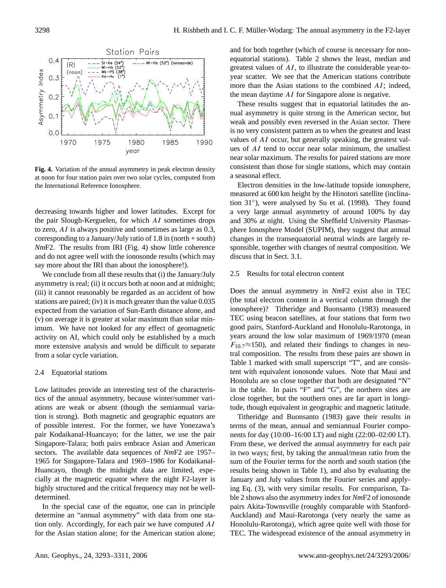

**Fig. 4.** Variation of the annual asymmetry in peak electron density at noon for four station pairs over two solar cycles, computed from the International Reference Ionosphere.

decreasing towards higher and lower latitudes. Except for the pair Slough-Kerguelen, for which AI sometimes drops to zero, AI is always positive and sometimes as large as 0.3, corresponding to a January/July ratio of 1.8 in (north + south) *Nm*F2. The results from IRI (Fig. 4) show little coherence and do not agree well with the ionosonde results (which may say more about the IRI than about the ionosphere!).

We conclude from all these results that (i) the January/July asymmetry is real; (ii) it occurs both at noon and at midnight; (iii) it cannot reasonably be regarded as an accident of how stations are paired; (iv) it is much greater than the value 0.035 expected from the variation of Sun-Earth distance alone, and (v) on average it is greater at solar maximum than solar minimum. We have not looked for any effect of geomagnetic activity on AI, which could only be established by a much more extensive analysis and would be difficult to separate from a solar cycle variation.

#### 2.4 Equatorial stations

Low latitudes provide an interesting test of the characteristics of the annual asymmetry, because winter/summer variations are weak or absent (though the semiannual variation is strong). Both magnetic and geographic equators are of possible interest. For the former, we have Yonezawa's pair Kodaikanal-Huancayo; for the latter, we use the pair Singapore-Talara; both pairs embrace Asian and American sectors. The available data sequences of *Nm*F2 are 1957– 1965 for Singapore-Talara and 1969–1986 for Kodaikanal-Huancayo, though the midnight data are limited, especially at the magnetic equator where the night F2-layer is highly structured and the critical frequency may not be welldetermined.

In the special case of the equator, one can in principle determine an "annual asymmetry" with data from one station only. Accordingly, for each pair we have computed AI for the Asian station alone; for the American station alone; and for both together (which of course is necessary for nonequatorial stations). Table 2 shows the least, median and greatest values of  $AI$ , to illustrate the considerable year-toyear scatter. We see that the American stations contribute more than the Asian stations to the combined  $AI$ ; indeed, the mean daytime AI for Singapore alone is negative.

These results suggest that in equatorial latitudes the annual asymmetry is quite strong in the American sector, but weak and possibly even reversed in the Asian sector. There is no very consistent pattern as to when the greatest and least values of AI occur, but generally speaking, the greatest values of AI tend to occur near solar minimum, the smallest near solar maximum. The results for paired stations are more consistent than those for single stations, which may contain a seasonal effect.

Electron densities in the low-latitude topside ionosphere, measured at 600 km height by the Hinotori satellite (inclination 31◦ ), were analysed by Su et al. (1998). They found a very large annual asymmetry of around 100% by day and 30% at night. Using the Sheffield University Plasmasphere Ionosphere Model (SUPIM), they suggest that annual changes in the transequatorial neutral winds are largely responsible, together with changes of neutral composition. We discuss that in Sect. 3.1.

## 2.5 Results for total electron content

Does the annual asymmetry in *Nm*F2 exist also in TEC (the total electron content in a vertical column through the ionosphere)? Titheridge and Buonsanto (1983) measured TEC using beacon satellites, at four stations that form two good pairs, Stanford-Auckland and Honolulu-Rarotonga, in years around the low solar maximum of 1969/1970 (mean  $F_{10.7} \approx 150$ , and related their findings to changes in neutral composition. The results from these pairs are shown in Table 1 marked with small superscript "T", and are consistent with equivalent ionosonde values. Note that Maui and Honolulu are so close together that both are designated "N" in the table. In pairs "F" and "G", the northern sites are close together, but the southern ones are far apart in longitude, though equivalent in geographic and magnetic latitude.

Titheridge and Buonsanto (1983) gave their results in terms of the mean, annual and semiannual Fourier components for day (10:00–16:00 LT) and night (22:00–02:00 LT). From these, we derived the annual asymmetry for each pair in two ways; first, by taking the annual/mean ratio from the sum of the Fourier terms for the north and south station (the results being shown in Table 1), and also by evaluating the January and July values from the Fourier series and applying Eq. [\(3\)](#page-2-0), with very similar results. For comparison, Table 2 shows also the asymmetry index for *Nm*F2 of ionosonde pairs Akita-Townsville (roughly comparable with Stanford-Auckland) and Maui-Rarotonga (very nearly the same as Honolulu-Rarotonga), which agree quite well with those for TEC. The widespread existence of the annual asymmetry in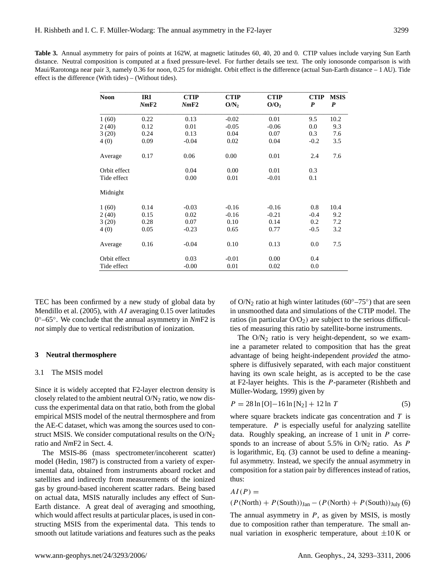**Table 3.** Annual asymmetry for pairs of points at 162W, at magnetic latitudes 60, 40, 20 and 0. CTIP values include varying Sun Earth distance. Neutral composition is computed at a fixed pressure-level. For further details see text. The only ionosonde comparison is with Maui/Rarotonga near pair 3, namely 0.36 for noon, 0.25 for midnight. Orbit effect is the difference (actual Sun-Earth distance – 1 AU). Tide effect is the difference (With tides) – (Without tides).

| <b>Noon</b>  | IRI  | <b>CTIP</b> | <b>CTIP</b> | <b>CTIP</b>      | <b>CTIP</b>      | <b>MSIS</b>      |
|--------------|------|-------------|-------------|------------------|------------------|------------------|
|              | NmF2 | NmF2        | $O/N_2$     | O/O <sub>2</sub> | $\boldsymbol{P}$ | $\boldsymbol{P}$ |
| 1(60)        | 0.22 | 0.13        | $-0.02$     | 0.01             | 9.5              | 10.2             |
| 2(40)        | 0.12 | 0.01        | $-0.05$     | $-0.06$          | $0.0\,$          | 9.3              |
| 3(20)        | 0.24 | 0.13        | 0.04        | 0.07             | 0.3              | 7.6              |
| 4(0)         | 0.09 | $-0.04$     | 0.02        | 0.04             | $-0.2$           | 3.5              |
| Average      | 0.17 | 0.06        | 0.00        | 0.01             | 2.4              | 7.6              |
| Orbit effect |      | 0.04        | 0.00        | 0.01             | 0.3              |                  |
| Tide effect  |      | 0.00        | 0.01        | $-0.01$          | 0.1              |                  |
| Midnight     |      |             |             |                  |                  |                  |
| 1(60)        | 0.14 | $-0.03$     | $-0.16$     | $-0.16$          | 0.8              | 10.4             |
| 2(40)        | 0.15 | 0.02        | $-0.16$     | $-0.21$          | $-0.4$           | 9.2              |
| 3(20)        | 0.28 | 0.07        | 0.10        | 0.14             | 0.2              | 7.2              |
| 4(0)         | 0.05 | $-0.23$     | 0.65        | 0.77             | $-0.5$           | 3.2              |
| Average      | 0.16 | $-0.04$     | 0.10        | 0.13             | 0.0              | 7.5              |
| Orbit effect |      | 0.03        | $-0.01$     | 0.00             | 0.4              |                  |
| Tide effect  |      | $-0.00$     | 0.01        | 0.02             | 0.0              |                  |

TEC has been confirmed by a new study of global data by Mendillo et al. (2005), with AI averaging 0.15 over latitudes 0 ◦–65◦ . We conclude that the annual asymmetry in *Nm*F2 is *not* simply due to vertical redistribution of ionization.

#### **3 Neutral thermosphere**

#### 3.1 The MSIS model

Since it is widely accepted that F2-layer electron density is closely related to the ambient neutral  $O/N<sub>2</sub>$  ratio, we now discuss the experimental data on that ratio, both from the global empirical MSIS model of the neutral thermosphere and from the AE-C dataset, which was among the sources used to construct MSIS. We consider computational results on the  $O/N<sub>2</sub>$ ratio and *Nm*F2 in Sect. 4.

The MSIS-86 (mass spectrometer/incoherent scatter) model (Hedin, 1987) is constructed from a variety of experimental data, obtained from instruments aboard rocket and satellites and indirectly from measurements of the ionized gas by ground-based incoherent scatter radars. Being based on actual data, MSIS naturally includes any effect of Sun-Earth distance. A great deal of averaging and smoothing, which would affect results at particular places, is used in constructing MSIS from the experimental data. This tends to smooth out latitude variations and features such as the peaks

of O/N<sub>2</sub> ratio at high winter latitudes ( $60^{\circ}$ –75°) that are seen in unsmoothed data and simulations of the CTIP model. The ratios (in particular  $O/O<sub>2</sub>$ ) are subject to the serious difficulties of measuring this ratio by satellite-borne instruments.

The  $O/N_2$  ratio is very height-dependent, so we examine a parameter related to composition that has the great advantage of being height-independent *provided* the atmosphere is diffusively separated, with each major constituent having its own scale height, as is accepted to be the case at F2-layer heights. This is the P-parameter (Rishbeth and Müller-Wodarg, 1999) given by

$$
P = 28 \ln \left[ \text{O} \right] - 16 \ln \left[ \text{N}_2 \right] + 12 \ln T \tag{5}
$$

where square brackets indicate gas concentration and  $T$  is temperature.  $P$  is especially useful for analyzing satellite data. Roughly speaking, an increase of 1 unit in  $P$  corresponds to an increase of about 5.5% in  $O/N<sub>2</sub>$  ratio. As P is logarithmic, Eq. [\(3\)](#page-2-0) cannot be used to define a meaningful asymmetry. Instead, we specify the annual asymmetry in composition for a station pair by differences instead of ratios, thus:

$$
AI(P) =
$$

 $(P(\text{North}) + P(\text{South}))_{\text{Jan}} - (P(\text{North}) + P(\text{South}))_{\text{July}}(6)$ 

The annual asymmetry in  $P$ , as given by MSIS, is mostly due to composition rather than temperature. The small annual variation in exospheric temperature, about  $\pm 10$  K or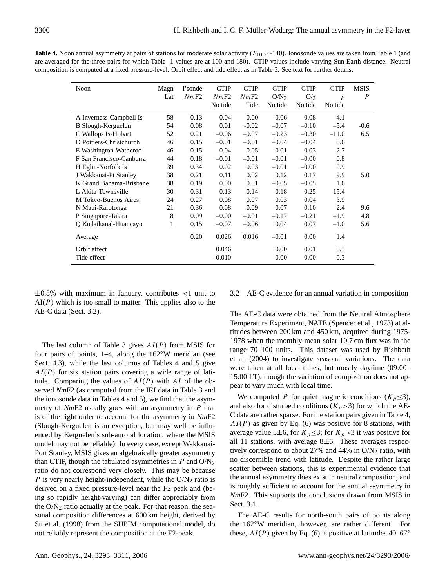| <b>Table 4.</b> Noon annual asymmetry at pairs of stations for moderate solar activity ( $F_{10} \sim 140$ ). Ionosonde values are taken from Table 1 (and |
|------------------------------------------------------------------------------------------------------------------------------------------------------------|
| are averaged for the three pairs for which Table 1 values are at 100 and 180). CTIP values include varying Sun Earth distance. Neutral                     |
| composition is computed at a fixed pressure-level. Orbit effect and tide effect as in Table 3. See text for further details.                               |

| Noon                     | Magn<br>Lat | I'sonde<br>NmF2 | <b>CTIP</b><br>NmF2<br>No tide | <b>CTIP</b><br>NmF2<br>Tide | <b>CTIP</b><br>$O/N_2$<br>No tide | <b>CTIP</b><br>O/2<br>No tide | <b>CTIP</b><br>$\boldsymbol{p}$<br>No tide | <b>MSIS</b><br>$\boldsymbol{P}$ |
|--------------------------|-------------|-----------------|--------------------------------|-----------------------------|-----------------------------------|-------------------------------|--------------------------------------------|---------------------------------|
| A Inverness-Campbell Is  | 58          | 0.13            | 0.04                           | 0.00                        | 0.06                              | 0.08                          | 4.1                                        |                                 |
| B Slough-Kerguelen       | 54          | 0.08            | 0.01                           | $-0.02$                     | $-0.07$                           | $-0.10$                       | $-5.4$                                     | $-0.6$                          |
|                          |             |                 |                                |                             |                                   |                               |                                            |                                 |
| C Wallops Is-Hobart      | 52          | 0.21            | $-0.06$                        | $-0.07$                     | $-0.23$                           | $-0.30$                       | $-11.0$                                    | 6.5                             |
| D Poitiers-Christchurch  | 46          | 0.15            | $-0.01$                        | $-0.01$                     | $-0.04$                           | $-0.04$                       | 0.6                                        |                                 |
| E Washington-Watheroo    | 46          | 0.15            | 0.04                           | 0.05                        | 0.01                              | 0.03                          | 2.7                                        |                                 |
| F San Francisco-Canberra | 44          | 0.18            | $-0.01$                        | $-0.01$                     | $-0.01$                           | $-0.00$                       | 0.8                                        |                                 |
| H Eglin-Norfolk Is       | 39          | 0.34            | 0.02                           | 0.03                        | $-0.01$                           | $-0.00$                       | 0.9                                        |                                 |
| J Wakkanai-Pt Stanley    | 38          | 0.21            | 0.11                           | 0.02                        | 0.12                              | 0.17                          | 9.9                                        | 5.0                             |
| K Grand Bahama-Brisbane  | 38          | 0.19            | 0.00                           | 0.01                        | $-0.05$                           | $-0.05$                       | 1.6                                        |                                 |
| L Akita-Townsville       | 30          | 0.31            | 0.13                           | 0.14                        | 0.18                              | 0.25                          | 15.4                                       |                                 |
| M Tokyo-Buenos Aires     | 24          | 0.27            | 0.08                           | 0.07                        | 0.03                              | 0.04                          | 3.9                                        |                                 |
| N Maui-Rarotonga         | 21          | 0.36            | 0.08                           | 0.09                        | 0.07                              | 0.10                          | 2.4                                        | 9.6                             |
| P Singapore-Talara       | 8           | 0.09            | $-0.00$                        | $-0.01$                     | $-0.17$                           | $-0.21$                       | $-1.9$                                     | 4.8                             |
| Q Kodaikanal-Huancayo    | 1           | 0.15            | $-0.07$                        | $-0.06$                     | 0.04                              | 0.07                          | $-1.0$                                     | 5.6                             |
| Average                  |             | 0.20            | 0.026                          | 0.016                       | $-0.01$                           | 0.00                          | 1.4                                        |                                 |
| Orbit effect             |             |                 | 0.046                          |                             | 0.00                              | 0.01                          | 0.3                                        |                                 |
| Tide effect              |             |                 | $-0.010$                       |                             | 0.00                              | 0.00                          | 0.3                                        |                                 |

 $\pm 0.8\%$  with maximum in January, contributes  $\lt 1$  unit to  $AI(P)$  which is too small to matter. This applies also to the AE-C data (Sect. 3.2).

The last column of Table 3 gives  $AI(P)$  from MSIS for four pairs of points,  $1-4$ , along the  $162°W$  meridian (see Sect. 4.3), while the last columns of Tables 4 and 5 give  $AI(P)$  for six station pairs covering a wide range of latitude. Comparing the values of  $AI(P)$  with AI of the observed *Nm*F2 (as computed from the IRI data in Table 3 and the ionosonde data in Tables 4 and 5), we find that the asymmetry of *Nm*F2 usually goes with an asymmetry in P that is of the right order to account for the asymmetry in *Nm*F2 (Slough-Kerguelen is an exception, but may well be influenced by Kerguelen's sub-auroral location, where the MSIS model may not be reliable). In every case, except Wakkanai-Port Stanley, MSIS gives an algebraically greater asymmetry than CTIP, though the tabulated asymmetries in  $P$  and  $O/N<sub>2</sub>$ ratio do not correspond very closely. This may be because P is very nearly height-independent, while the  $O/N<sub>2</sub>$  ratio is derived on a fixed pressure-level near the F2 peak and (being so rapidly height-varying) can differ appreciably from the  $O/N_2$  ratio actually at the peak. For that reason, the seasonal composition differences at 600 km height, derived by Su et al. (1998) from the SUPIM computational model, do not reliably represent the composition at the F2-peak.

# 3.2 AE-C evidence for an annual variation in composition

The AE-C data were obtained from the Neutral Atmosphere Temperature Experiment, NATE (Spencer et al., 1973) at altitudes between 200 km and 450 km, acquired during 1975- 1978 when the monthly mean solar 10.7 cm flux was in the range 70–100 units. This dataset was used by Rishbeth et al. (2004) to investigate seasonal variations. The data were taken at all local times, but mostly daytime (09:00– 15:00 LT), though the variation of composition does not appear to vary much with local time.

We computed P for quiet magnetic conditions  $(K_p \leq 3)$ , and also for disturbed conditions  $(K_p>3)$  for which the AE-C data are rather sparse. For the station pairs given in Table 4,  $AI(P)$  as given by Eq. (6) was positive for 8 stations, with average value 5±6, for  $K_p \leq 3$ ; for  $K_p > 3$  it was positive for all 11 stations, with average 8±6. These averages respectively correspond to about 27% and 44% in  $O/N<sub>2</sub>$  ratio, with no discernible trend with latitude. Despite the rather large scatter between stations, this is experimental evidence that the annual asymmetry does exist in neutral composition, and is roughly sufficient to account for the annual asymmetry in *Nm*F2. This supports the conclusions drawn from MSIS in Sect. 3.1.

The AE-C results for north-south pairs of points along the 162◦W meridian, however, are rather different. For these,  $AI(P)$  given by Eq. (6) is positive at latitudes 40–67°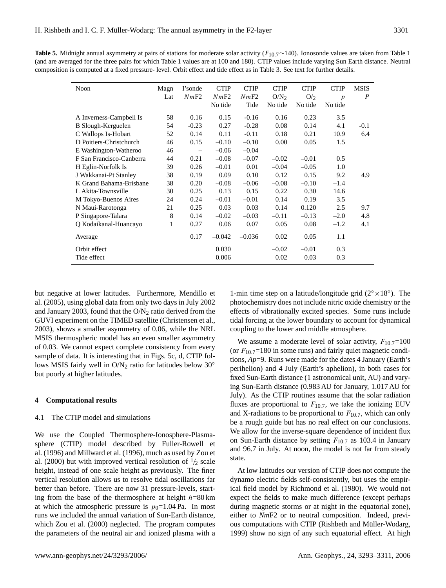| <b>Table 5.</b> Midnight annual asymmetry at pairs of stations for moderate solar activity $(F_{107} \sim 140)$ . Ionosonde values are taken from Table 1 |  |
|-----------------------------------------------------------------------------------------------------------------------------------------------------------|--|
| (and are averaged for the three pairs for which Table 1 values are at 100 and 180). CTIP values include varying Sun Earth distance. Neutral               |  |
| composition is computed at a fixed pressure-level. Orbit effect and tide effect as in Table 3. See text for further details.                              |  |

| Noon                                      | Magn<br>Lat | I'sonde<br>NmF2 | <b>CTIP</b><br>NmF2<br>No tide | <b>CTIP</b><br>NmF2<br>Tide | <b>CTIP</b><br>O/N <sub>2</sub><br>No tide | <b>CTIP</b><br>O/2<br>No tide | <b>CTIP</b><br>$\boldsymbol{p}$<br>No tide | <b>MSIS</b><br>$\boldsymbol{P}$ |
|-------------------------------------------|-------------|-----------------|--------------------------------|-----------------------------|--------------------------------------------|-------------------------------|--------------------------------------------|---------------------------------|
| A Inverness-Campbell Is                   | 58          | 0.16            | 0.15                           | $-0.16$                     | 0.16                                       | 0.23                          | 3.5                                        |                                 |
| B Slough-Kerguelen<br>C Wallops Is-Hobart | 54<br>52    | $-0.23$<br>0.14 | 0.27<br>0.11                   | $-0.28$<br>$-0.11$          | 0.08<br>0.18                               | 0.14<br>0.21                  | 4.1<br>10.9                                | $-0.1$<br>6.4                   |
| D Poitiers-Christchurch                   | 46          | 0.15            | $-0.10$                        | $-0.10$                     | 0.00                                       | 0.05                          | 1.5                                        |                                 |
| E Washington-Watheroo                     | 46          |                 | $-0.06$                        | $-0.04$                     |                                            |                               |                                            |                                 |
| F San Francisco-Canberra                  | 44          | 0.21            | $-0.08$                        | $-0.07$                     | $-0.02$                                    | $-0.01$                       | 0.5                                        |                                 |
| H Eglin-Norfolk Is                        | 39          | 0.26            | $-0.01$                        | 0.01                        | $-0.04$                                    | $-0.05$                       | 1.0                                        |                                 |
| J Wakkanai-Pt Stanley                     | 38          | 0.19            | 0.09                           | 0.10                        | 0.12                                       | 0.15                          | 9.2                                        | 4.9                             |
| K Grand Bahama-Brisbane                   | 38          | 0.20            | $-0.08$                        | $-0.06$                     | $-0.08$                                    | $-0.10$                       | $-1.4$                                     |                                 |
| L Akita-Townsville                        | 30          | 0.25            | 0.13                           | 0.15                        | 0.22                                       | 0.30                          | 14.6                                       |                                 |
| M Tokyo-Buenos Aires                      | 24          | 0.24            | $-0.01$                        | $-0.01$                     | 0.14                                       | 0.19                          | 3.5                                        |                                 |
| N Maui-Rarotonga                          | 21          | 0.25            | 0.03                           | 0.03                        | 0.14                                       | 0.120                         | 2.5                                        | 9.7                             |
| P Singapore-Talara                        | 8           | 0.14            | $-0.02$                        | $-0.03$                     | $-0.11$                                    | $-0.13$                       | $-2.0$                                     | 4.8                             |
| Q Kodaikanal-Huancayo                     | 1           | 0.27            | 0.06                           | 0.07                        | 0.05                                       | 0.08                          | $-1.2$                                     | 4.1                             |
| Average                                   |             | 0.17            | $-0.042$                       | $-0.036$                    | 0.02                                       | 0.05                          | 1.1                                        |                                 |
| Orbit effect                              |             |                 | 0.030                          |                             | $-0.02$                                    | $-0.01$                       | 0.3                                        |                                 |
| Tide effect                               |             |                 | 0.006                          |                             | 0.02                                       | 0.03                          | 0.3                                        |                                 |

but negative at lower latitudes. Furthermore, Mendillo et al. (2005), using global data from only two days in July 2002 and January 2003, found that the  $O/N<sub>2</sub>$  ratio derived from the GUVI experiment on the TIMED satellite (Christensen et al., 2003), shows a smaller asymmetry of 0.06, while the NRL MSIS thermospheric model has an even smaller asymmetry of 0.03. We cannot expect complete consistency from every sample of data. It is interesting that in Figs. 5c, d, CTIP follows MSIS fairly well in  $O/N_2$  ratio for latitudes below 30 $\degree$ but poorly at higher latitudes.

## **4 Computational results**

#### 4.1 The CTIP model and simulations

We use the Coupled Thermosphere-Ionosphere-Plasmasphere (CTIP) model described by Fuller-Rowell et al. (1996) and Millward et al. (1996), much as used by Zou et al. (2000) but with improved vertical resolution of  $\frac{1}{2}$  scale height, instead of one scale height as previously. The finer vertical resolution allows us to resolve tidal oscillations far better than before. There are now 31 pressure-levels, starting from the base of the thermosphere at height  $h=80 \text{ km}$ at which the atmospheric pressure is  $p_0=1.04$  Pa. In most runs we included the annual variation of Sun-Earth distance, which Zou et al. (2000) neglected. The program computes the parameters of the neutral air and ionized plasma with a

1-min time step on a latitude/longitude grid ( $2° \times 18°$ ). The photochemistry does not include nitric oxide chemistry or the effects of vibrationally excited species. Some runs include tidal forcing at the lower boundary to account for dynamical coupling to the lower and middle atmosphere.

We assume a moderate level of solar activity,  $F_{10.7}=100$ (or  $F_{10.7}$ =180 in some runs) and fairly quiet magnetic conditions, *Ap*=9. Runs were made for the dates 4 January (Earth's perihelion) and 4 July (Earth's aphelion), in both cases for fixed Sun-Earth distance (1 astronomical unit, AU) and varying Sun-Earth distance (0.983 AU for January, 1.017 AU for July). As the CTIP routines assume that the solar radiation fluxes are proportional to  $F_{10.7}$ , we take the ionizing EUV and X-radiations to be proportional to  $F_{10,7}$ , which can only be a rough guide but has no real effect on our conclusions. We allow for the inverse-square dependence of incident flux on Sun-Earth distance by setting  $F_{10,7}$  as 103.4 in January and 96.7 in July. At noon, the model is not far from steady state.

At low latitudes our version of CTIP does not compute the dynamo electric fields self-consistently, but uses the empirical field model by Richmond et al. (1980). We would not expect the fields to make much difference (except perhaps during magnetic storms or at night in the equatorial zone), either to *Nm*F2 or to neutral composition. Indeed, previous computations with CTIP (Rishbeth and Müller-Wodarg, 1999) show no sign of any such equatorial effect. At high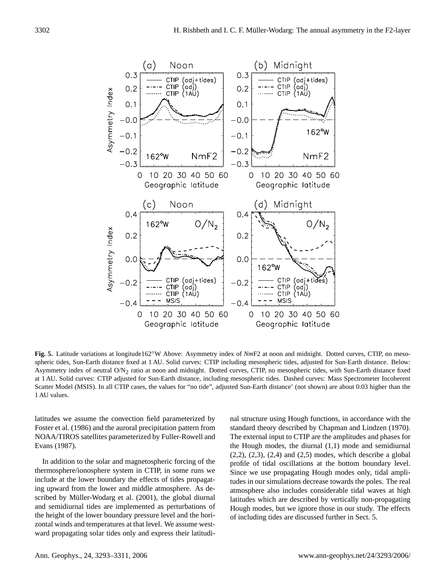

**Fig. 5.** Latitude variations at longitude162◦W Above: Asymmetry index of *Nm*F2 at noon and midnight. Dotted curves, CTIP, no mesospheric tides, Sun-Earth distance fixed at 1 AU. Solid curves: CTIP including mesospheric tides, adjusted for Sun-Earth distance. Below: Asymmetry index of neutral O/N<sub>2</sub> ratio at noon and midnight. Dotted curves, CTIP, no mesospheric tides, with Sun-Earth distance fixed at 1 AU. Solid curves: CTIP adjusted for Sun-Earth distance, including mesospheric tides. Dashed curves: Mass Spectrometer Incoherent Scatter Model (MSIS). In all CTIP cases, the values for "no tide", adjusted Sun-Earth distance' (not shown) are about 0.03 higher than the 1 AU values.

latitudes we assume the convection field parameterized by Foster et al. (1986) and the auroral precipitation pattern from NOAA/TIROS satellites parameterized by Fuller-Rowell and Evans (1987).

In addition to the solar and magnetospheric forcing of the thermosphere/ionosphere system in CTIP, in some runs we include at the lower boundary the effects of tides propagating upward from the lower and middle atmosphere. As described by Müller-Wodarg et al. (2001), the global diurnal and semidiurnal tides are implemented as perturbations of the height of the lower boundary pressure level and the horizontal winds and temperatures at that level. We assume westward propagating solar tides only and express their latitudinal structure using Hough functions, in accordance with the standard theory described by Chapman and Lindzen (1970). The external input to CTIP are the amplitudes and phases for the Hough modes, the diurnal (1,1) mode and semidiurnal  $(2,2)$ ,  $(2,3)$ ,  $(2,4)$  and  $(2,5)$  modes, which describe a global profile of tidal oscillations at the bottom boundary level. Since we use propagating Hough modes only, tidal amplitudes in our simulations decrease towards the poles. The real atmosphere also includes considerable tidal waves at high latitudes which are described by vertically non-propagating Hough modes, but we ignore those in our study. The effects of including tides are discussed further in Sect. 5.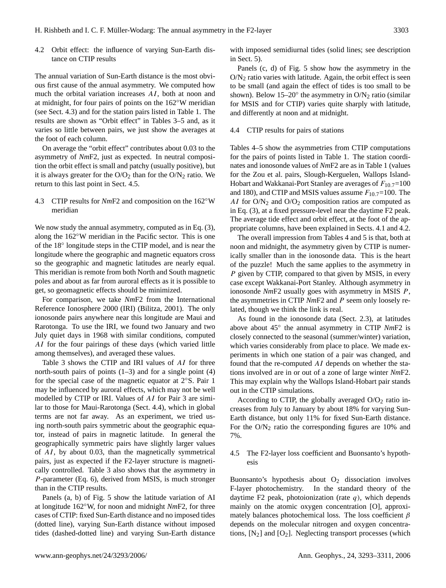4.2 Orbit effect: the influence of varying Sun-Earth distance on CTIP results

The annual variation of Sun-Earth distance is the most obvious first cause of the annual asymmetry. We computed how much the orbital variation increases  $AI$ , both at noon and at midnight, for four pairs of points on the 162◦W meridian (see Sect. 4.3) and for the station pairs listed in Table 1. The results are shown as "Orbit effect" in Tables 3–5 and, as it varies so little between pairs, we just show the averages at the foot of each column.

On average the "orbit effect" contributes about 0.03 to the asymmetry of *Nm*F2, just as expected. In neutral composition the orbit effect is small and patchy (usually positive), but it is always greater for the  $O/O<sub>2</sub>$  than for the  $O/N<sub>2</sub>$  ratio. We return to this last point in Sect. 4.5.

4.3 CTIP results for *Nm*F2 and composition on the 162◦W meridian

We now study the annual asymmetry, computed as in Eq.  $(3)$ , along the 162◦W meridian in the Pacific sector. This is one of the 18◦ longitude steps in the CTIP model, and is near the longitude where the geographic and magnetic equators cross so the geographic and magnetic latitudes are nearly equal. This meridian is remote from both North and South magnetic poles and about as far from auroral effects as it is possible to get, so geomagnetic effects should be minimized.

For comparison, we take *Nm*F2 from the International Reference Ionosphere 2000 (IRI) (Bilitza, 2001). The only ionosonde pairs anywhere near this longitude are Maui and Rarotonga. To use the IRI, we found two January and two July quiet days in 1968 with similar conditions, computed AI for the four pairings of these days (which varied little among themselves), and averaged these values.

Table 3 shows the CTIP and IRI values of AI for three north-south pairs of points  $(1-3)$  and for a single point  $(4)$ for the special case of the magnetic equator at 2◦S. Pair 1 may be influenced by auroral effects, which may not be well modelled by CTIP or IRI. Values of AI for Pair 3 are similar to those for Maui-Rarotonga (Sect. 4.4), which in global terms are not far away. As an experiment, we tried using north-south pairs symmetric about the geographic equator, instead of pairs in magnetic latitude. In general the geographically symmetric pairs have slightly larger values of  $AI$ , by about 0.03, than the magnetically symmetrical pairs, just as expected if the F2-layer structure is magnetically controlled. Table 3 also shows that the asymmetry in P-parameter (Eq. 6), derived from MSIS, is much stronger than in the CTIP results.

Panels (a, b) of Fig. 5 show the latitude variation of AI at longitude 162◦W, for noon and midnight *Nm*F2, for three cases of CTIP: fixed Sun-Earth distance and no imposed tides (dotted line), varying Sun-Earth distance without imposed tides (dashed-dotted line) and varying Sun-Earth distance

with imposed semidiurnal tides (solid lines; see description in Sect. 5).

Panels (c, d) of Fig. 5 show how the asymmetry in the  $O/N<sub>2</sub>$  ratio varies with latitude. Again, the orbit effect is seen to be small (and again the effect of tides is too small to be shown). Below  $15-20^\circ$  the asymmetry in O/N<sub>2</sub> ratio (similar for MSIS and for CTIP) varies quite sharply with latitude, and differently at noon and at midnight.

#### 4.4 CTIP results for pairs of stations

Tables 4–5 show the asymmetries from CTIP computations for the pairs of points listed in Table 1. The station coordinates and ionosonde values of *Nm*F2 are as in Table 1 (values for the Zou et al. pairs, Slough-Kerguelen, Wallops Island-Hobart and Wakkanai-Port Stanley are averages of  $F_{10,7}=100$ and 180), and CTIP and MSIS values assume  $F_{10,7}=100$ . The AI for  $O/N_2$  and  $O/O_2$  composition ratios are computed as in Eq. [\(3\)](#page-2-0), at a fixed pressure-level near the daytime F2 peak. The average tide effect and orbit effect, at the foot of the appropriate columns, have been explained in Sects. 4.1 and 4.2.

The overall impression from Tables 4 and 5 is that, both at noon and midnight, the asymmetry given by CTIP is numerically smaller than in the ionosonde data. This is the heart of the puzzle! Much the same applies to the asymmetry in P given by CTIP, compared to that given by MSIS, in every case except Wakkanai-Port Stanley. Although asymmetry in ionosonde *Nm*F2 usually goes with asymmetry in MSIS P, the asymmetries in CTIP *Nm*F2 and P seem only loosely related, though we think the link is real.

As found in the ionosonde data (Sect. 2.3), at latitudes above about 45◦ the annual asymmetry in CTIP *Nm*F2 is closely connected to the seasonal (summer/winter) variation, which varies considerably from place to place. We made experiments in which one station of a pair was changed, and found that the re-computed AI depends on whether the stations involved are in or out of a zone of large winter *Nm*F2. This may explain why the Wallops Island-Hobart pair stands out in the CTIP simulations.

According to CTIP, the globally averaged  $O/O<sub>2</sub>$  ratio increases from July to January by about 18% for varying Sun-Earth distance, but only 11% for fixed Sun-Earth distance. For the  $O/N<sub>2</sub>$  ratio the corresponding figures are 10% and 7%.

4.5 The F2-layer loss coefficient and Buonsanto's hypothesis

Buonsanto's hypothesis about  $O_2$  dissociation involves F-layer photochemistry. In the standard theory of the daytime F2 peak, photoionization (rate  $q$ ), which depends mainly on the atomic oxygen concentration [O], approximately balances photochemical loss. The loss coefficient  $\beta$ depends on the molecular nitrogen and oxygen concentrations,  $[N_2]$  and  $[O_2]$ . Neglecting transport processes (which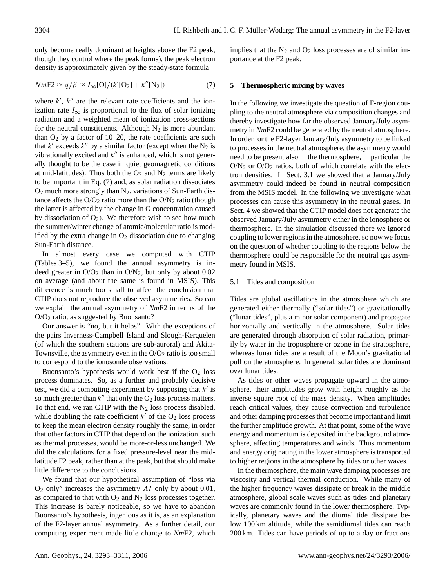only become really dominant at heights above the F2 peak, though they control where the peak forms), the peak electron density is approximately given by the steady-state formula

$$
NmF2 \approx q/\beta \approx I_{\infty}[O]/(k'[O_2] + k''[N_2])
$$
\n(7)

where  $k'$ ,  $k''$  are the relevant rate coefficients and the ionization rate  $I_{\infty}$  is proportional to the flux of solar ionizing radiation and a weighted mean of ionization cross-sections for the neutral constituents. Although  $N_2$  is more abundant than  $O_2$  by a factor of 10–20, the rate coefficients are such that k' exceeds  $k''$  by a similar factor (except when the  $N_2$  is vibrationally excited and  $k''$  is enhanced, which is not generally thought to be the case in quiet geomagnetic conditions at mid-latitudes). Thus both the  $O_2$  and  $N_2$  terms are likely to be important in Eq. (7) and, as solar radiation dissociates  $O_2$  much more strongly than  $N_2$ , variations of Sun-Earth distance affects the  $O/O_2$  ratio more than the  $O/N_2$  ratio (though the latter is affected by the change in O concentration caused by dissociation of  $O_2$ ). We therefore wish to see how much the summer/winter change of atomic/molecular ratio is modified by the extra change in  $O_2$  dissociation due to changing Sun-Earth distance.

In almost every case we computed with CTIP (Tables 3–5), we found the annual asymmetry is indeed greater in  $O/O<sub>2</sub>$  than in  $O/N<sub>2</sub>$ , but only by about 0.02 on average (and about the same is found in MSIS). This difference is much too small to affect the conclusion that CTIP does not reproduce the observed asymmetries. So can we explain the annual asymmetry of *Nm*F2 in terms of the O/O<sup>2</sup> ratio, as suggested by Buonsanto?

Our answer is "no, but it helps". With the exceptions of the pairs Inverness-Campbell Island and Slough-Kerguelen (of which the southern stations are sub-auroral) and Akita-Townsville, the asymmetry even in the  $O/O<sub>2</sub>$  ratio is too small to correspond to the ionosonde observations.

Buonsanto's hypothesis would work best if the  $O<sub>2</sub>$  loss process dominates. So, as a further and probably decisive test, we did a computing experiment by supposing that  $k'$  is so much greater than  $k''$  that only the  $O_2$  loss process matters. To that end, we ran CTIP with the  $N_2$  loss process disabled, while doubling the rate coefficient  $k'$  of the  $O_2$  loss process to keep the mean electron density roughly the same, in order that other factors in CTIP that depend on the ionization, such as thermal processes, would be more-or-less unchanged. We did the calculations for a fixed pressure-level near the midlatitude F2 peak, rather than at the peak, but that should make little difference to the conclusions.

We found that our hypothetical assumption of "loss via  $O_2$  only" increases the asymmetry  $AI$  only by about 0.01, as compared to that with  $O_2$  and  $N_2$  loss processes together. This increase is barely noticeable, so we have to abandon Buonsanto's hypothesis, ingenious as it is, as an explanation of the F2-layer annual asymmetry. As a further detail, our computing experiment made little change to *Nm*F2, which implies that the  $N_2$  and  $O_2$  loss processes are of similar importance at the F2 peak.

## **5 Thermospheric mixing by waves**

In the following we investigate the question of F-region coupling to the neutral atmosphere via composition changes and thereby investigate how far the observed January/July asymmetry in *Nm*F2 could be generated by the neutral atmosphere. In order for the F2-layer January/July asymmetry to be linked to processes in the neutral atmosphere, the asymmetry would need to be present also in the thermosphere, in particular the  $O/N_2$  or  $O/O_2$  ratios, both of which correlate with the electron densities. In Sect. 3.1 we showed that a January/July asymmetry could indeed be found in neutral composition from the MSIS model. In the following we investigate what processes can cause this asymmetry in the neutral gases. In Sect. 4 we showed that the CTIP model does not generate the observed January/July asymmetry either in the ionosphere or thermosphere. In the simulation discussed there we ignored coupling to lower regions in the atmosphere, so now we focus on the question of whether coupling to the regions below the thermosphere could be responsible for the neutral gas asymmetry found in MSIS.

#### 5.1 Tides and composition

Tides are global oscillations in the atmosphere which are generated either thermally ("solar tides") or gravitationally ("lunar tides", plus a minor solar component) and propagate horizontally and vertically in the atmosphere. Solar tides are generated through absorption of solar radiation, primarily by water in the troposphere or ozone in the stratosphere, whereas lunar tides are a result of the Moon's gravitational pull on the atmosphere. In general, solar tides are dominant over lunar tides.

As tides or other waves propagate upward in the atmosphere, their amplitudes grow with height roughly as the inverse square root of the mass density. When amplitudes reach critical values, they cause convection and turbulence and other damping processes that become important and limit the further amplitude growth. At that point, some of the wave energy and momentum is deposited in the background atmosphere, affecting temperatures and winds. Thus momentum and energy originating in the lower atmosphere is transported to higher regions in the atmosphere by tides or other waves.

In the thermosphere, the main wave damping processes are viscosity and vertical thermal conduction. While many of the higher frequency waves dissipate or break in the middle atmosphere, global scale waves such as tides and planetary waves are commonly found in the lower thermosphere. Typically, planetary waves and the diurnal tide dissipate below 100 km altitude, while the semidiurnal tides can reach 200 km. Tides can have periods of up to a day or fractions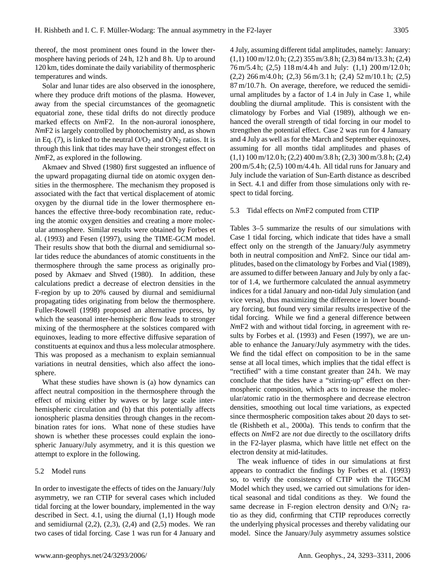thereof, the most prominent ones found in the lower thermosphere having periods of 24 h, 12 h and 8 h. Up to around 120 km, tides dominate the daily variability of thermospheric temperatures and winds.

Solar and lunar tides are also observed in the ionosphere, where they produce drift motions of the plasma. However, away from the special circumstances of the geomagnetic equatorial zone, these tidal drifts do not directly produce marked effects on *Nm*F2. In the non-auroral ionosphere, *Nm*F2 is largely controlled by photochemistry and, as shown in Eq. (7), is linked to the neutral  $O/O<sub>2</sub>$  and  $O/N<sub>2</sub>$  ratios. It is through this link that tides may have their strongest effect on *Nm*F2, as explored in the following.

Akmaev and Shved (1980) first suggested an influence of the upward propagating diurnal tide on atomic oxygen densities in the thermosphere. The mechanism they proposed is associated with the fact that vertical displacement of atomic oxygen by the diurnal tide in the lower thermosphere enhances the effective three-body recombination rate, reducing the atomic oxygen densities and creating a more molecular atmosphere. Similar results were obtained by Forbes et al. (1993) and Fesen (1997), using the TIME-GCM model. Their results show that both the diurnal and semidiurnal solar tides reduce the abundances of atomic constituents in the thermosphere through the same process as originally proposed by Akmaev and Shved (1980). In addition, these calculations predict a decrease of electron densities in the F-region by up to 20% caused by diurnal and semidiurnal propagating tides originating from below the thermosphere. Fuller-Rowell (1998) proposed an alternative process, by which the seasonal inter-hemispheric flow leads to stronger mixing of the thermosphere at the solstices compared with equinoxes, leading to more effective diffusive separation of constituents at equinox and thus a less molecular atmosphere. This was proposed as a mechanism to explain semiannual variations in neutral densities, which also affect the ionosphere.

What these studies have shown is (a) how dynamics can affect neutral composition in the thermosphere through the effect of mixing either by waves or by large scale interhemispheric circulation and (b) that this potentially affects ionospheric plasma densities through changes in the recombination rates for ions. What none of these studies have shown is whether these processes could explain the ionospheric January/July asymmetry, and it is this question we attempt to explore in the following.

#### 5.2 Model runs

In order to investigate the effects of tides on the January/July asymmetry, we ran CTIP for several cases which included tidal forcing at the lower boundary, implemented in the way described in Sect. 4.1, using the diurnal (1,1) Hough mode and semidiurnal  $(2,2)$ ,  $(2,3)$ ,  $(2,4)$  and  $(2,5)$  modes. We ran two cases of tidal forcing. Case 1 was run for 4 January and 4 July, assuming different tidal amplitudes, namely: January: (1,1) 100 m/12.0 h; (2,2) 355 m/3.8 h; (2,3) 84 m/13.3 h; (2,4) 76 m/5.4 h; (2,5) 118 m/4.4 h and July: (1,1) 200 m/12.0 h; (2,2) 266 m/4.0 h; (2,3) 56 m/3.1 h; (2,4) 52 m/10.1 h; (2,5) 87 m/10.7 h. On average, therefore, we reduced the semidiurnal amplitudes by a factor of 1.4 in July in Case 1, while doubling the diurnal amplitude. This is consistent with the climatology by Forbes and Vial (1989), although we enhanced the overall strength of tidal forcing in our model to strengthen the potential effect. Case 2 was run for 4 January and 4 July as well as for the March and September equinoxes, assuming for all months tidal amplitudes and phases of (1,1) 100 m/12.0 h; (2,2) 400 m/3.8 h; (2,3) 300 m/3.8 h; (2,4) 200 m/5.4 h; (2,5) 100 m/4.4 h. All tidal runs for January and July include the variation of Sun-Earth distance as described in Sect. 4.1 and differ from those simulations only with respect to tidal forcing.

#### 5.3 Tidal effects on *Nm*F2 computed from CTIP

Tables 3–5 summarize the results of our simulations with Case 1 tidal forcing, which indicate that tides have a small effect only on the strength of the January/July asymmetry both in neutral composition and *Nm*F2. Since our tidal amplitudes, based on the climatology by Forbes and Vial (1989), are assumed to differ between January and July by only a factor of 1.4, we furthermore calculated the annual asymmetry indices for a tidal January and non-tidal July simulation (and vice versa), thus maximizing the difference in lower boundary forcing, but found very similar results irrespective of the tidal forcing. While we find a general difference between *Nm*F2 with and without tidal forcing, in agreement with results by Forbes et al. (1993) and Fesen (1997), we are unable to enhance the January/July asymmetry with the tides. We find the tidal effect on composition to be in the same sense at all local times, which implies that the tidal effect is "rectified" with a time constant greater than 24 h. We may conclude that the tides have a "stirring-up" effect on thermospheric composition, which acts to increase the molecular/atomic ratio in the thermosphere and decrease electron densities, smoothing out local time variations, as expected since thermospheric composition takes about 20 days to settle (Rishbeth et al., 2000a). This tends to confirm that the effects on *Nm*F2 are *not* due directly to the oscillatory drifts in the F2-layer plasma, which have little net effect on the electron density at mid-latitudes.

The weak influence of tides in our simulations at first appears to contradict the findings by Forbes et al. (1993) so, to verify the consistency of CTIP with the TIGCM Model which they used, we carried out simulations for identical seasonal and tidal conditions as they. We found the same decrease in F-region electron density and  $O/N<sub>2</sub>$  ratio as they did, confirming that CTIP reproduces correctly the underlying physical processes and thereby validating our model. Since the January/July asymmetry assumes solstice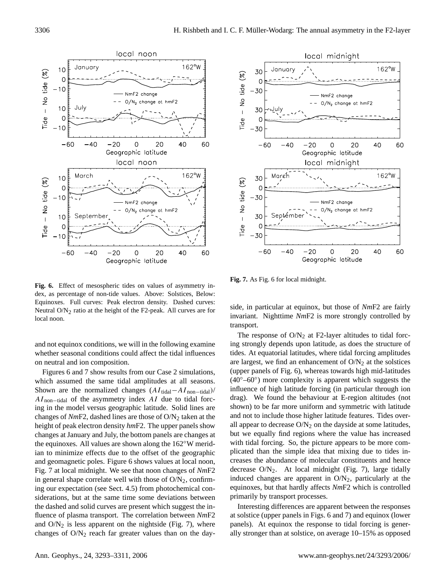

**Fig. 6.** Effect of mesospheric tides on values of asymmetry index, as percentage of non-tide values. Above: Solstices, Below: Equinoxes. Full curves: Peak electron density. Dashed curves: Neutral  $O/N<sub>2</sub>$  ratio at the height of the F2-peak. All curves are for local noon.

and not equinox conditions, we will in the following examine whether seasonal conditions could affect the tidal influences on neutral and ion composition.

Figures 6 and 7 show results from our Case 2 simulations, which assumed the same tidal amplitudes at all seasons. Shown are the normalized changes  $(AI_{tidal}-AI_{non-tidal})/$  $AI$ <sub>non−tidal</sub> of the asymmetry index AI due to tidal forcing in the model versus geographic latitude. Solid lines are changes of  $NmF2$ , dashed lines are those of  $O/N<sub>2</sub>$  taken at the height of peak electron density *hm*F2. The upper panels show changes at January and July, the bottom panels are changes at the equinoxes. All values are shown along the 162◦W meridian to minimize effects due to the offset of the geographic and geomagnetic poles. Figure 6 shows values at local noon, Fig. 7 at local midnight. We see that noon changes of *Nm*F2 in general shape correlate well with those of  $O/N_2$ , confirming our expectation (see Sect. 4.5) from photochemical considerations, but at the same time some deviations between the dashed and solid curves are present which suggest the influence of plasma transport. The correlation between *Nm*F2 and  $O/N<sub>2</sub>$  is less apparent on the nightside (Fig. 7), where changes of  $O/N_2$  reach far greater values than on the day-



**Fig. 7.** As Fig. 6 for local midnight.

side, in particular at equinox, but those of *Nm*F2 are fairly invariant. Nighttime *Nm*F2 is more strongly controlled by transport.

The response of  $O/N_2$  at F2-layer altitudes to tidal forcing strongly depends upon latitude, as does the structure of tides. At equatorial latitudes, where tidal forcing amplitudes are largest, we find an enhancement of  $O/N<sub>2</sub>$  at the solstices (upper panels of Fig. 6), whereas towards high mid-latitudes (40◦–60◦ ) more complexity is apparent which suggests the influence of high latitude forcing (in particular through ion drag). We found the behaviour at E-region altitudes (not shown) to be far more uniform and symmetric with latitude and not to include those higher latitude features. Tides overall appear to decrease  $O/N_2$  on the dayside at some latitudes, but we equally find regions where the value has increased with tidal forcing. So, the picture appears to be more complicated than the simple idea that mixing due to tides increases the abundance of molecular constituents and hence decrease  $O/N_2$ . At local midnight (Fig. 7), large tidally induced changes are apparent in  $O/N_2$ , particularly at the equinoxes, but that hardly affects *Nm*F2 which is controlled primarily by transport processes.

Interesting differences are apparent between the responses at solstice (upper panels in Figs. 6 and 7) and equinox (lower panels). At equinox the response to tidal forcing is generally stronger than at solstice, on average 10–15% as opposed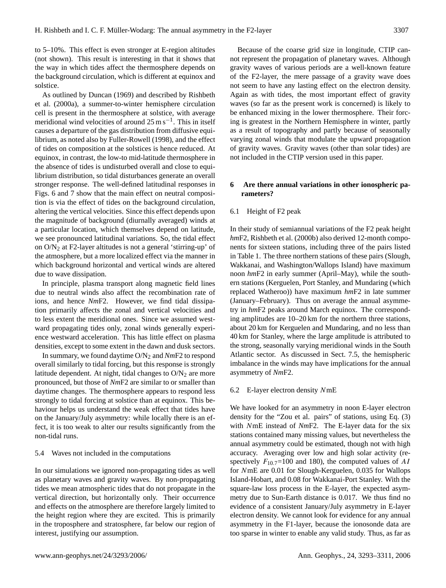to 5–10%. This effect is even stronger at E-region altitudes (not shown). This result is interesting in that it shows that the way in which tides affect the thermosphere depends on the background circulation, which is different at equinox and solstice.

As outlined by Duncan (1969) and described by Rishbeth et al. (2000a), a summer-to-winter hemisphere circulation cell is present in the thermosphere at solstice, with average meridional wind velocities of around 25 m s<sup>-1</sup>. This in itself causes a departure of the gas distribution from diffusive equilibrium, as noted also by Fuller-Rowell (1998), and the effect of tides on composition at the solstices is hence reduced. At equinox, in contrast, the low-to mid-latitude thermosphere in the absence of tides is undisturbed overall and close to equilibrium distribution, so tidal disturbances generate an overall stronger response. The well-defined latitudinal responses in Figs. 6 and 7 show that the main effect on neutral composition is via the effect of tides on the background circulation, altering the vertical velocities. Since this effect depends upon the magnitude of background (diurnally averaged) winds at a particular location, which themselves depend on latitude, we see pronounced latitudinal variations. So, the tidal effect on O/N<sup>2</sup> at F2-layer altitudes is not a general 'stirring-up' of the atmosphere, but a more localized effect via the manner in which background horizontal and vertical winds are altered due to wave dissipation.

In principle, plasma transport along magnetic field lines due to neutral winds also affect the recombination rate of ions, and hence *Nm*F2. However, we find tidal dissipation primarily affects the zonal and vertical velocities and to less extent the meridional ones. Since we assumed westward propagating tides only, zonal winds generally experience westward acceleration. This has little effect on plasma densities, except to some extent in the dawn and dusk sectors.

In summary, we found daytime O/N<sup>2</sup> and *Nm*F2 to respond overall similarly to tidal forcing, but this response is strongly latitude dependent. At night, tidal changes to  $O/N<sub>2</sub>$  are more pronounced, but those of *Nm*F2 are similar to or smaller than daytime changes. The thermosphere appears to respond less strongly to tidal forcing at solstice than at equinox. This behaviour helps us understand the weak effect that tides have on the January/July asymmetry: while locally there is an effect, it is too weak to alter our results significantly from the non-tidal runs.

## 5.4 Waves not included in the computations

In our simulations we ignored non-propagating tides as well as planetary waves and gravity waves. By non-propagating tides we mean atmospheric tides that do not propagate in the vertical direction, but horizontally only. Their occurrence and effects on the atmosphere are therefore largely limited to the height region where they are excited. This is primarily in the troposphere and stratosphere, far below our region of interest, justifying our assumption.

Because of the coarse grid size in longitude, CTIP cannot represent the propagation of planetary waves. Although gravity waves of various periods are a well-known feature of the F2-layer, the mere passage of a gravity wave does not seem to have any lasting effect on the electron density. Again as with tides, the most important effect of gravity waves (so far as the present work is concerned) is likely to be enhanced mixing in the lower thermosphere. Their forcing is greatest in the Northern Hemisphere in winter, partly as a result of topography and partly because of seasonally varying zonal winds that modulate the upward propagation of gravity waves. Gravity waves (other than solar tides) are not included in the CTIP version used in this paper.

## **6 Are there annual variations in other ionospheric parameters?**

## 6.1 Height of F2 peak

In their study of semiannual variations of the F2 peak height *hm*F2, Rishbeth et al. (2000b) also derived 12-month components for sixteen stations, including three of the pairs listed in Table 1. The three northern stations of these pairs (Slough, Wakkanai, and Washington/Wallops Island) have maximum noon *hm*F2 in early summer (April–May), while the southern stations (Kerguelen, Port Stanley, and Mundaring (which replaced Watheroo)) have maximum *hm*F2 in late summer (January–February). Thus on average the annual asymmetry in *hm*F2 peaks around March equinox. The corresponding amplitudes are 10–20 km for the northern three stations, about 20 km for Kerguelen and Mundaring, and no less than 40 km for Stanley, where the large amplitude is attributed to the strong, seasonally varying meridional winds in the South Atlantic sector. As discussed in Sect. 7.5, the hemispheric imbalance in the winds may have implications for the annual asymmetry of *Nm*F2.

#### 6.2 E-layer electron density NmE

We have looked for an asymmetry in noon E-layer electron density for the "Zou et al. pairs" of stations, using Eq. [\(3\)](#page-2-0) with NmE instead of *Nm*F2. The E-layer data for the six stations contained many missing values, but nevertheless the annual asymmetry could be estimated, though not with high accuracy. Averaging over low and high solar activity (respectively  $F_{10.7}$ =100 and 180), the computed values of AI for NmE are 0.01 for Slough-Kerguelen, 0.035 for Wallops Island-Hobart, and 0.08 for Wakkanai-Port Stanley. With the square-law loss process in the E-layer, the expected asymmetry due to Sun-Earth distance is 0.017. We thus find no evidence of a consistent January/July asymmetry in E-layer electron density. We cannot look for evidence for any annual asymmetry in the F1-layer, because the ionosonde data are too sparse in winter to enable any valid study. Thus, as far as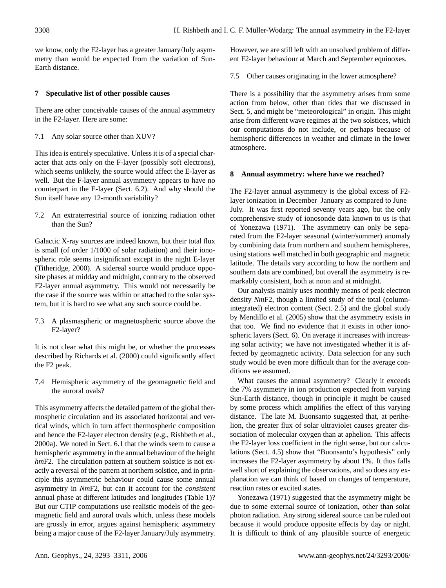we know, only the F2-layer has a greater January/July asymmetry than would be expected from the variation of Sun-Earth distance.

# **7 Speculative list of other possible causes**

There are other conceivable causes of the annual asymmetry in the F2-layer. Here are some:

7.1 Any solar source other than XUV?

This idea is entirely speculative. Unless it is of a special character that acts only on the F-layer (possibly soft electrons), which seems unlikely, the source would affect the E-layer as well. But the F-layer annual asymmetry appears to have no counterpart in the E-layer (Sect. 6.2). And why should the Sun itself have any 12-month variability?

7.2 An extraterrestrial source of ionizing radiation other than the Sun?

Galactic X-ray sources are indeed known, but their total flux is small (of order 1/1000 of solar radiation) and their ionospheric role seems insignificant except in the night E-layer (Titheridge, 2000). A sidereal source would produce opposite phases at midday and midnight, contrary to the observed F2-layer annual asymmetry. This would not necessarily be the case if the source was within or attached to the solar system, but it is hard to see what any such source could be.

7.3 A plasmaspheric or magnetospheric source above the F2-layer?

It is not clear what this might be, or whether the processes described by Richards et al. (2000) could significantly affect the F2 peak.

7.4 Hemispheric asymmetry of the geomagnetic field and the auroral ovals?

This asymmetry affects the detailed pattern of the global thermospheric circulation and its associated horizontal and vertical winds, which in turn affect thermospheric composition and hence the F2-layer electron density (e.g., Rishbeth et al., 2000a). We noted in Sect. 6.1 that the winds seem to cause a hemispheric asymmetry in the annual behaviour of the height *hmF2*. The circulation pattern at southern solstice is not exactly a reversal of the pattern at northern solstice, and in principle this asymmetric behaviour could cause some annual asymmetry in *Nm*F2, but can it account for the *consistent* annual phase at different latitudes and longitudes (Table 1)? But our CTIP computations use realistic models of the geomagnetic field and auroral ovals which, unless these models are grossly in error, argues against hemispheric asymmetry being a major cause of the F2-layer January/July asymmetry. However, we are still left with an unsolved problem of different F2-layer behaviour at March and September equinoxes.

7.5 Other causes originating in the lower atmosphere?

There is a possibility that the asymmetry arises from some action from below, other than tides that we discussed in Sect. 5, and might be "meteorological" in origin. This might arise from different wave regimes at the two solstices, which our computations do not include, or perhaps because of hemispheric differences in weather and climate in the lower atmosphere.

## **8 Annual asymmetry: where have we reached?**

The F2-layer annual asymmetry is the global excess of F2 layer ionization in December–January as compared to June– July. It was first reported seventy years ago, but the only comprehensive study of ionosonde data known to us is that of Yonezawa (1971). The asymmetry can only be separated from the F2-layer seasonal (winter/summer) anomaly by combining data from northern and southern hemispheres, using stations well matched in both geographic and magnetic latitude. The details vary according to how the northern and southern data are combined, but overall the asymmetry is remarkably consistent, both at noon and at midnight.

Our analysis mainly uses monthly means of peak electron density *NmF2*, though a limited study of the total (columnintegrated) electron content (Sect. 2.5) and the global study by Mendillo et al. (2005) show that the asymmetry exists in that too. We find no evidence that it exists in other ionospheric layers (Sect. 6). On average it increases with increasing solar activity; we have not investigated whether it is affected by geomagnetic activity. Data selection for any such study would be even more difficult than for the average conditions we assumed.

What causes the annual asymmetry? Clearly it exceeds the 7% asymmetry in ion production expected from varying Sun-Earth distance, though in principle it might be caused by some process which amplifies the effect of this varying distance. The late M. Buonsanto suggested that, at perihelion, the greater flux of solar ultraviolet causes greater dissociation of molecular oxygen than at aphelion. This affects the F2-layer loss coefficient in the right sense, but our calculations (Sect. 4.5) show that "Buonsanto's hypothesis" only increases the F2-layer asymmetry by about 1%. It thus falls well short of explaining the observations, and so does any explanation we can think of based on changes of temperature, reaction rates or excited states.

Yonezawa (1971) suggested that the asymmetry might be due to some external source of ionization, other than solar photon radiation. Any strong sidereal source can be ruled out because it would produce opposite effects by day or night. It is difficult to think of any plausible source of energetic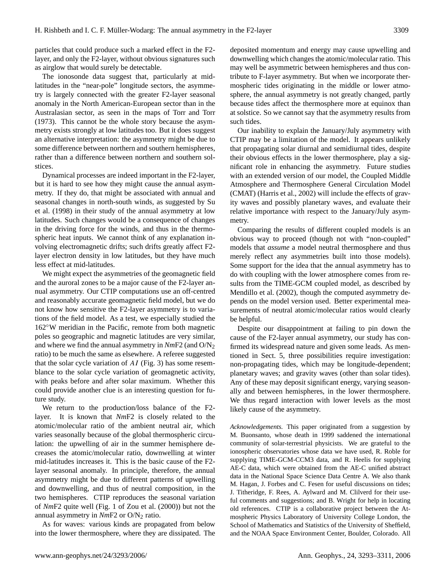particles that could produce such a marked effect in the F2 layer, and only the F2-layer, without obvious signatures such as airglow that would surely be detectable.

The ionosonde data suggest that, particularly at midlatitudes in the "near-pole" longitude sectors, the asymmetry is largely connected with the greater F2-layer seasonal anomaly in the North American-European sector than in the Australasian sector, as seen in the maps of Torr and Torr (1973). This cannot be the whole story because the asymmetry exists strongly at low latitudes too. But it does suggest an alternative interpretation: the asymmetry might be due to some difference between northern and southern hemispheres, rather than a difference between northern and southern solstices.

Dynamical processes are indeed important in the F2-layer, but it is hard to see how they might cause the annual asymmetry. If they do, that might be associated with annual and seasonal changes in north-south winds, as suggested by Su et al. (1998) in their study of the annual asymmetry at low latitudes. Such changes would be a consequence of changes in the driving force for the winds, and thus in the thermospheric heat inputs. We cannot think of any explanation involving electromagnetic drifts; such drifts greatly affect F2 layer electron density in low latitudes, but they have much less effect at mid-latitudes.

We might expect the asymmetries of the geomagnetic field and the auroral zones to be a major cause of the F2-layer annual asymmetry. Our CTIP computations use an off-centred and reasonably accurate geomagnetic field model, but we do not know how sensitive the F2-layer asymmetry is to variations of the field model. As a test, we especially studied the 162◦W meridian in the Pacific, remote from both magnetic poles so geographic and magnetic latitudes are very similar, and where we find the annual asymmetry in *Nm*F2 (and O/N<sup>2</sup> ratio) to be much the same as elsewhere. A referee suggested that the solar cycle variation of  $AI$  (Fig. 3) has some resemblance to the solar cycle variation of geomagnetic activity, with peaks before and after solar maximum. Whether this could provide another clue is an interesting question for future study.

We return to the production/loss balance of the F2 layer. It is known that *Nm*F2 is closely related to the atomic/molecular ratio of the ambient neutral air, which varies seasonally because of the global thermospheric circulation: the upwelling of air in the summer hemisphere decreases the atomic/molecular ratio, downwelling at winter mid-latitudes increases it. This is the basic cause of the F2 layer seasonal anomaly. In principle, therefore, the annual asymmetry might be due to different patterns of upwelling and downwelling, and thus of neutral composition, in the two hemispheres. CTIP reproduces the seasonal variation of *Nm*F2 quite well (Fig. 1 of Zou et al. (2000)) but not the annual asymmetry in *NmF2* or O/N<sub>2</sub> ratio.

As for waves: various kinds are propagated from below into the lower thermosphere, where they are dissipated. The

deposited momentum and energy may cause upwelling and downwelling which changes the atomic/molecular ratio. This may well be asymmetric between hemispheres and thus contribute to F-layer asymmetry. But when we incorporate thermospheric tides originating in the middle or lower atmosphere, the annual asymmetry is not greatly changed, partly because tides affect the thermosphere more at equinox than at solstice. So we cannot say that the asymmetry results from such tides.

Our inability to explain the January/July asymmetry with CTIP may be a limitation of the model. It appears unlikely that propagating solar diurnal and semidiurnal tides, despite their obvious effects in the lower thermosphere, play a significant role in enhancing the asymmetry. Future studies with an extended version of our model, the Coupled Middle Atmosphere and Thermosphere General Circulation Model (CMAT) (Harris et al., 2002) will include the effects of gravity waves and possibly planetary waves, and evaluate their relative importance with respect to the January/July asymmetry.

Comparing the results of different coupled models is an obvious way to proceed (though not with "non-coupled" models that *assume* a model neutral thermosphere and thus merely reflect any asymmetries built into those models). Some support for the idea that the annual asymmetry has to do with coupling with the lower atmosphere comes from results from the TIME-GCM coupled model, as described by Mendillo et al. (2002), though the computed asymmetry depends on the model version used. Better experimental measurements of neutral atomic/molecular ratios would clearly be helpful.

Despite our disappointment at failing to pin down the cause of the F2-layer annual asymmetry, our study has confirmed its widespread nature and given some leads. As mentioned in Sect. 5, three possibilities require investigation: non-propagating tides, which may be longitude-dependent; planetary waves; and gravity waves (other than solar tides). Any of these may deposit significant energy, varying seasonally and between hemispheres, in the lower thermosphere. We thus regard interaction with lower levels as the most likely cause of the asymmetry.

*Acknowledgements.* This paper originated from a suggestion by M. Buonsanto, whose death in 1999 saddened the international community of solar-terrestrial physicists. We are grateful to the ionospheric observatories whose data we have used, R. Roble for supplying TIME-GCM-CCM3 data, and R. Heelis for supplying AE-C data, which were obtained from the AE-C unified abstract data in the National Space Science Data Centre A. We also thank M. Hagan, J. Forbes and C. Fesen for useful discussions on tides; J. Titheridge, F. Rees, A. Aylward and M. Clilverd for their useful comments and suggestions; and B. Wright for help in locating old references. CTIP is a collaborative project between the Atmospheric Physics Laboratory of University College London, the School of Mathematics and Statistics of the University of Sheffield, and the NOAA Space Environment Center, Boulder, Colorado. All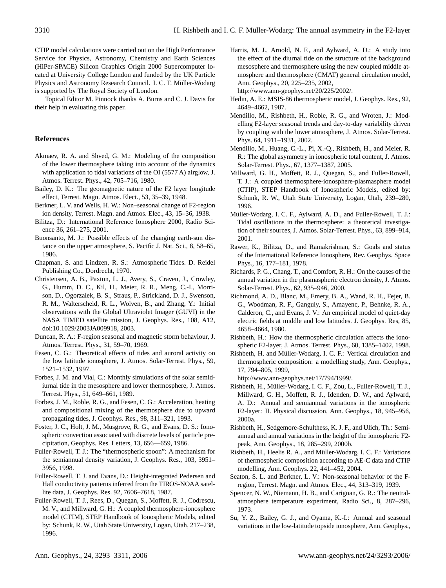CTIP model calculations were carried out on the High Performance Service for Physics, Astronomy, Chemistry and Earth Sciences (HiPer-SPACE) Silicon Graphics Origin 2000 Supercomputer located at University College London and funded by the UK Particle Physics and Astronomy Research Council. I. C. F. Muller-Wodarg ¨ is supported by The Royal Society of London.

Topical Editor M. Pinnock thanks A. Burns and C. J. Davis for their help in evaluating this paper.

## **References**

- Akmaev, R. A. and Shved, G. M.: Modeling of the composition of the lower thermosphere taking into account of the dynamics with application to tidal variations of the OI (5577 A) airglow, J. Atmos. Terrest. Phys., 42, 705–716, 1980.
- Bailey, D. K.: The geomagnetic nature of the F2 layer longitude effect, Terrest. Magn. Atmos. Elect., 53, 35–39, 1948.
- Berkner, L. V. and Wells, H. W.: Non–seasonal change of F2-region ion density, Terrest. Magn. and Atmos. Elec., 43, 15–36, 1938.
- Bilitza, D.: International Reference Ionosphere 2000, Radio Science 36, 261–275, 2001.
- Buonsanto, M. J.: Possible effects of the changing earth-sun distance on the upper atmosphere, S. Pacific J. Nat. Sci., 8, 58–65, 1986.
- Chapman, S. and Lindzen, R. S.: Atmospheric Tides. D. Reidel Publishing Co., Dordrecht, 1970.
- Christensen, A. B., Paxton, L. J., Avery, S., Craven, J., Crowley, G., Humm, D. C., Kil, H., Meier, R. R., Meng, C.-I., Morrison, D., Ogorzalek, B. S., Straus, P., Strickland, D. J., Swenson, R. M., Walterscheid, R. L., Wolven, B., and Zhang, Y.: Initial observations with the Global Ultraviolet Imager (GUVI) in the NASA TIMED satellite mission, J. Geophys. Res., 108, A12, doi:10.1029/2003JA009918, 2003.
- Duncan, R. A.: F-region seasonal and magnetic storm behaviour, J. Atmos. Terrest. Phys., 31, 59–70, 1969.
- Fesen, C. G.: Theoretical effects of tides and auroral activity on the low latitude ionosphere, J. Atmos. Solar-Terrest. Phys., 59, 1521–1532, 1997.
- Forbes, J. M. and Vial, C.: Monthly simulations of the solar semidiurnal tide in the mesosphere and lower thermosphere, J. Atmos. Terrest. Phys., 51, 649–661, 1989.
- Forbes, J. M., Roble, R. G., and Fesen, C. G.: Acceleration, heating and compositional mixing of the thermosphere due to upward propagating tides, J. Geophys. Res., 98, 311–321, 1993.
- Foster, J. C., Holt, J. M., Musgrove, R. G., and Evans, D. S.: Ionospheric convection associated with discrete levels of particle precipitation, Geophys. Res. Letters, 13, 656—659, 1986.
- Fuller-Rowell, T. J.: The "thermospheric spoon": A mechanism for the semiannual density variation, J. Geophys. Res., 103, 3951– 3956, 1998.
- Fuller-Rowell, T. J. and Evans, D.: Height-integrated Pedersen and Hall conductivity patterns inferred from the TIROS-NOAA satellite data, J. Geophys. Res. 92, 7606–7618, 1987.
- Fuller-Rowell, T. J., Rees, D., Quegan, S., Moffett, R. J., Codrescu, M. V., and Millward, G. H.: A coupled thermosphere-ionosphere model (CTIM), STEP Handbook of Ionospheric Models, edited by: Schunk, R. W., Utah State University, Logan, Utah, 217–238, 1996.
- Harris, M. J., Arnold, N. F., and Aylward, A. D.: A study into the effect of the diurnal tide on the structure of the background mesosphere and thermosphere using the new coupled middle atmosphere and thermosphere (CMAT) general circulation model, Ann. Geophys., 20, 225–235, 2002, [http://www.ann-geophys.net/20/225/2002/.](http://www.ann-geophys.net/20/225/2002/)
- Hedin, A. E.: MSIS-86 thermospheric model, J. Geophys. Res., 92, 4649–4662, 1987.
- Mendillo, M., Rishbeth, H., Roble, R. G., and Wroten, J.: Modelling F2-layer seasonal trends and day-to-day variability driven by coupling with the lower atmosphere, J. Atmos. Solar-Terrest. Phys. 64, 1911–1931, 2002.
- Mendillo, M., Huang, C.-L., Pi, X.-Q., Rishbeth, H., and Meier, R. R.: The global asymmetry in ionospheric total content, J. Atmos. Solar-Terrest. Phys., 67, 1377–1387, 2005.
- Millward, G. H., Moffett, R. J., Quegan, S., and Fuller-Rowell, T. J.: A coupled thermosphere-ionosphere-plasmasphere model (CTIP), STEP Handbook of Ionospheric Models, edited by: Schunk, R. W., Utah State University, Logan, Utah, 239–280, 1996.
- Müller-Wodarg, I. C. F., Aylward, A. D., and Fuller-Rowell, T. J.: Tidal oscillations in the thermosphere: a theoretical investigation of their sources, J. Atmos. Solar-Terrest. Phys., 63, 899–914, 2001.
- Rawer, K., Bilitza, D., and Ramakrishnan, S.: Goals and status of the International Reference Ionosphere, Rev. Geophys. Space Phys., 16, 177–181, 1978.
- Richards, P. G., Chang, T., and Comfort, R. H.: On the causes of the annual variation in the plasmaspheric electron density, J. Atmos. Solar-Terrest. Phys., 62, 935–946, 2000.
- Richmond, A. D., Blanc, M., Emery, B. A., Wand, R. H., Fejer, B. G., Woodman, R. F., Ganguly, S., Amayenc, P., Behnke, R. A., Calderon, C., and Evans, J. V.: An empirical model of quiet-day electric fields at middle and low latitudes. J. Geophys. Res, 85, 4658–4664, 1980.
- Rishbeth, H.: How the thermospheric circulation affects the ionospheric F2-layer, J. Atmos. Terrest. Phys., 60, 1385–1402, 1998.
- Rishbeth, H. and Müller-Wodarg, I. C. F.: Vertical circulation and thermospheric composition: a modelling study, Ann. Geophys., 17, 794–805, 1999,

[http://www.ann-geophys.net/17/794/1999/.](http://www.ann-geophys.net/17/794/1999/)

- Rishbeth, H., Müller-Wodarg, I. C. F., Zou, L., Fuller-Rowell, T. J., Millward, G. H., Moffett, R. J., Idenden, D. W., and Aylward, A. D.: Annual and semiannual variations in the ionospheric F2-layer: II. Physical discussion, Ann. Geophys., 18, 945–956, 2000a.
- Rishbeth, H., Sedgemore-Schulthess, K. J. F., and Ulich, Th.: Semiannual and annual variations in the height of the ionospheric F2 peak, Ann. Geophys., 18, 285–299, 2000b.
- Rishbeth, H., Heelis R. A., and Muller-Wodarg, I. C. F.: Variations ¨ of thermospheric composition according to AE-C data and CTIP modelling, Ann. Geophys. 22, 441–452, 2004.
- Seaton, S. L. and Berkner, L. V.: Non-seasonal behavior of the Fregion, Terrest. Magn. and Atmos. Elec., 44, 313–319, 1939.
- Spencer, N. W., Niemann, H. B., and Carignan, G. R.: The neutralatmosphere temperature experiment, Radio Sci., 8, 287–296, 1973.
- Su, Y. Z., Bailey, G. J., and Oyama, K.-I.: Annual and seasonal variations in the low-latitude topside ionosphere, Ann. Geophys.,